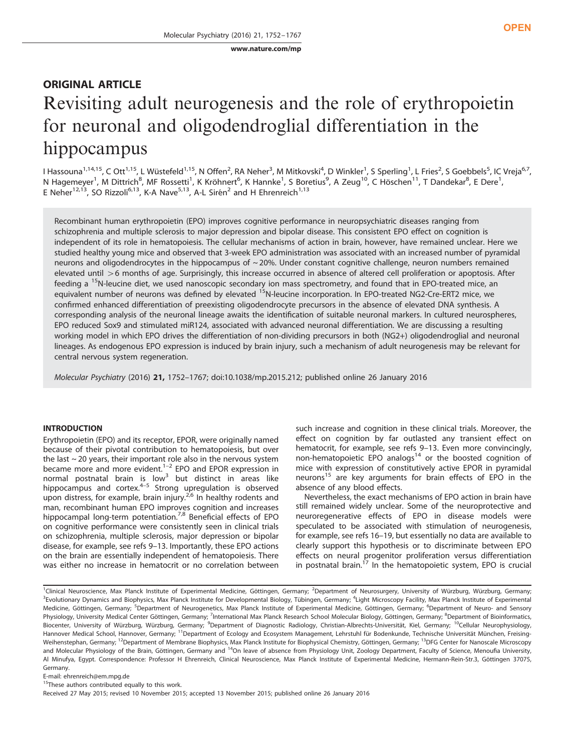[www.nature.com/mp](http://www.nature.com/mp)

# ORIGINAL ARTICLE Revisiting adult neurogenesis and the role of erythropoietin for neuronal and oligodendroglial differentiation in the hippocampus

I Hassouna<sup>1,14,15</sup>, C Ott<sup>1,15</sup>, L Wüstefeld<sup>1,15</sup>, N Offen<sup>2</sup>, RA Neher<sup>3</sup>, M Mitkovski<sup>4</sup>, D Winkler<sup>1</sup>, S Sperling<sup>1</sup>, L Fries<sup>2</sup>, S Goebbels<sup>5</sup>, IC Vreja<sup>6,7</sup>, N Hagemeyer<sup>1</sup>, M Dittrich<sup>8</sup>, MF Rossetti<sup>1</sup>, K Kröhnert<sup>6</sup>, K Hannke<sup>1</sup>, S Boretius<sup>9</sup>, A Zeug<sup>10</sup>, C Höschen<sup>11</sup>, T Dandekar<sup>8</sup>, E Dere<sup>1</sup>, E Neher<sup>12,13</sup>, SO Rizzoli<sup>6,13</sup>, K-A Nave<sup>5,13</sup>, A-L Sirén<sup>2</sup> and H Ehrenreich<sup>1,13</sup>

Recombinant human erythropoietin (EPO) improves cognitive performance in neuropsychiatric diseases ranging from schizophrenia and multiple sclerosis to major depression and bipolar disease. This consistent EPO effect on cognition is independent of its role in hematopoiesis. The cellular mechanisms of action in brain, however, have remained unclear. Here we studied healthy young mice and observed that 3-week EPO administration was associated with an increased number of pyramidal neurons and oligodendrocytes in the hippocampus of  $\sim$  20%. Under constant cognitive challenge, neuron numbers remained elevated until >6 months of age. Surprisingly, this increase occurred in absence of altered cell proliferation or apoptosis. After feeding a <sup>15</sup>N-leucine diet, we used nanoscopic secondary ion mass spectrometry, and found that in EPO-treated mice, an equivalent number of neurons was defined by elevated <sup>15</sup>N-leucine incorporation. In EPO-treated NG2-Cre-ERT2 mice, we confirmed enhanced differentiation of preexisting oligodendrocyte precursors in the absence of elevated DNA synthesis. A corresponding analysis of the neuronal lineage awaits the identification of suitable neuronal markers. In cultured neurospheres, EPO reduced Sox9 and stimulated miR124, associated with advanced neuronal differentiation. We are discussing a resulting working model in which EPO drives the differentiation of non-dividing precursors in both (NG2+) oligodendroglial and neuronal lineages. As endogenous EPO expression is induced by brain injury, such a mechanism of adult neurogenesis may be relevant for central nervous system regeneration.

Molecular Psychiatry (2016) 21, 1752–1767; doi[:10.1038/mp.2015.212](http://dx.doi.org/10.1038/mp.2015.212); published online 26 January 2016

# INTRODUCTION

Erythropoietin (EPO) and its receptor, EPOR, were originally named because of their pivotal contribution to hematopoiesis, but over the last  $\sim$  20 years, their importa[nt ro](#page-13-0)le also in the nervous system became more and more evident.<sup>1–2</sup> EPO and EPOR expression in normal postnatal brain [is](#page-13-0) low<sup>3</sup> but distinct in areas like hippocampus and cortex.<sup>4–5</sup> Strong upregulation is observed upon distress, for example, brain injury.<sup>[2](#page-13-0)[,6](#page-14-0)</sup> In healthy rodents and man, recombinant human EPO improves cognition and increases hippocampal long-term potentiation.<sup>[7,8](#page-14-0)</sup> Beneficial effects of EPO on cognitive performance were consistently seen in clinical trials on schizophrenia, multiple sclerosis, major depression or bipolar disease, for example, see refs 9–[13.](#page-14-0) Importantly, these EPO actions on the brain are essentially independent of hematopoiesis. There was either no increase in hematocrit or no correlation between such increase and cognition in these clinical trials. Moreover, the effect on cognition by far outlasted any transient effect on hematocrit, for example, see refs 9–[13](#page-14-0). Even more convincingly, non-hematopoietic EPO analogs $14$  or the boosted cognition of mice with expression of constitutively active EPOR in pyramidal neurons<sup>[15](#page-14-0)</sup> are key arguments for brain effects of EPO in the absence of any blood effects.

Nevertheless, the exact mechanisms of EPO action in brain have still remained widely unclear. Some of the neuroprotective and neuroregenerative effects of EPO in disease models were speculated to be associated with stimulation of neurogenesis, for example, see refs 16–[19,](#page-14-0) but essentially no data are available to clearly support this hypothesis or to discriminate between EPO effects on neural progenitor proliferation versus differentiation in postnatal brain.<sup>17</sup> In the hematopoietic system, EPO is crucial

E-mail: [ehrenreich@em.mpg.de](mailto:ehrenreich@em.mpg.de)

 $15$ These authors contributed equally to this work.

<sup>&</sup>lt;sup>1</sup>Clinical Neuroscience, Max Planck Institute of Experimental Medicine, Göttingen, Germany; <sup>2</sup>Department of Neurosurgery, University of Würzburg, Würzburg, Germany <sup>3</sup> Evolutionary Dynamics and Biophysics, Max Planck Institute for Developmental Biology, Tübingen, Germany; <sup>4</sup> Light Microscopy Facility, Max Planck Institute of Experimental Medicine, Göttingen, Germany; <sup>5</sup>Department of Neurogenetics, Max Planck Institute of Experimental Medicine, Göttingen, Germany; <sup>6</sup>Department of Neuro- and Sensory Physiology, University Medical Center Göttingen, Germany; <sup>7</sup>International Max Planck Research School Molecular Biology, Göttingen, Germany; <sup>8</sup>Department of Bioinformatics, Biocenter, University of Würzburg, Würzburg, Germany; <sup>9</sup>Department of Diagnostic Radiology, Christian-Albrechts-Universität, Kiel, Germany; <sup>10</sup>Cellular Neurophysiology, Hannover Medical School, Hannover, Germany; <sup>11</sup>Department of Ecology and Ecosystem Management, Lehrstuhl für Bodenkunde, Technische Universität München, Freising-Weihenstephan, Germany; <sup>12</sup>Department of Membrane Biophysics, Max Planck Institute for Biophysical Chemistry, Göttingen, Germany; <sup>13</sup>DFG Center for Nanoscale Microscopy and Molecular Physiology of the Brain, Göttingen, Germany and <sup>14</sup>On leave of absence from Physiology Unit, Zoology Department, Faculty of Science, Menoufia University, Al Minufya, Egypt. Correspondence: Professor H Ehrenreich, Clinical Neuroscience, Max Planck Institute of Experimental Medicine, Hermann-Rein-Str.3, Göttingen 37075, Germany.

Received 27 May 2015; revised 10 November 2015; accepted 13 November 2015; published online 26 January 2016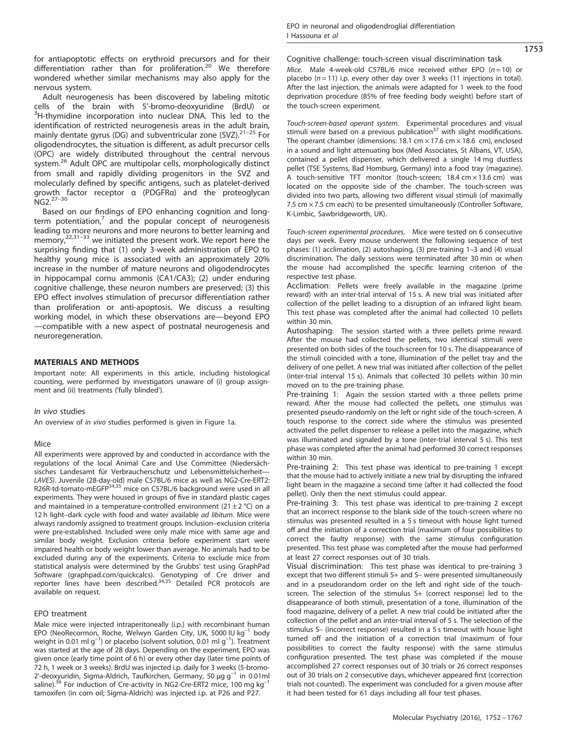for antiapoptotic effects on erythroid precursors and for their differentiation rather than for proliferation.[20](#page-14-0) We therefore wondered whether similar mechanisms may also apply for the nervous system.

Adult neurogenesis has been discovered by labeling mitotic cells of the brain with 5'-bromo-deoxyuridine (BrdU) or <sup>3</sup>  $3H$ -thymidine incorporation into nuclear DNA. This led to the identification of restricted neurogenesis areas in the adult brain, mainly dentate gyrus (DG) and subventricular zone  $(SVZ)$ .<sup>[21](#page-14-0)–25</sup> For oligodendrocytes, the situation is different, as adult precursor cells (OPC) are widely distributed throughout the central nervous system.<sup>[26](#page-14-0)</sup> Adult OPC are multipolar cells, morphologically distinct from small and rapidly dividing progenitors in the SVZ and molecularly defined by specific antigens, such as platelet-derived gro[wth f](#page-14-0)actor receptor α (PDGFRα) and the proteoglycan NG2.27–<sup>30</sup>

Based on our findings of EPO enhancing cognition and longterm potentiation, $7$  and the popular concept of neurogenesis leading to [more](#page-14-0) neurons and more neurons to better learning and memory,<sup>22,31–33</sup> we initiated the present work. We report here the surprising finding that (1) only 3-week administration of EPO to healthy young mice is associated with an approximately 20% increase in the number of mature neurons and oligodendrocytes in hippocampal cornu ammonis (CA1/CA3); (2) under enduring cognitive challenge, these neuron numbers are preserved; (3) this EPO effect involves stimulation of precursor differentiation rather than proliferation or anti-apoptosis. We discuss a resulting working model, in which these observations are—beyond EPO —compatible with a new aspect of postnatal neurogenesis and neuroregeneration.

# MATERIALS AND METHODS

Important note: All experiments in this article, including histological counting, were performed by investigators unaware of (i) group assignment and (ii) treatments ('fully blinded').

### In vivo studies

An overview of in vivo studies performed is given in [Figure 1a.](#page-2-0)

# Mice

All experiments were approved by and conducted in accordance with the regulations of the local Animal Care and Use Committee (Niedersächsisches Landesamt für Verbraucherschutz und Lebensmittelsicherheit— LAVES). Juvenile (28-day-old) male C57BL/6 mice as well as NG2-Cre-ERT2: R26R-td-tomato-mEGFP<sup>[34,35](#page-14-0)</sup> mice on C57BL/6 background were used in all experiments. They were housed in groups of five in standard plastic cages and maintained in a temperature-controlled environment  $(21 \pm 2 \degree C)$  on a 12 h light-dark cycle with food and water available ad libitum. Mice were always randomly assigned to treatment groups. Inclusion–exclusion criteria were pre-established. Included were only male mice with same age and similar body weight. Exclusion criteria before experiment start were impaired health or body weight lower than average. No animals had to be excluded during any of the experiments. Criteria to exclude mice from statistical analysis were determined by the Grubbs' test using GraphPad Software (graphpad.com/quickcalcs). Genotyping of Cre driver and reporter lines have been described.<sup>[34,35](#page-14-0)</sup> Detailed PCR protocols are available on request.

### EPO treatment

Male mice were injected intraperitoneally (i.p.) with recombinant human EPO (NeoRecormon, Roche, Welwyn Garden City, UK, 5000 IU kg–<sup>1</sup> body weight in 0.01 ml g<sup>-1</sup>) or placebo (solvent solution, 0.01 ml g<sup>-1</sup>). Treatment was started at the age of 28 days. Depending on the experiment, EPO was given once (early time point of 6 h) or every other day (later time points of 72 h, 1 week or 3 weeks). BrdU was injected i.p. daily for 3 weeks (5-bromo-2'-deoxyuridin, Sigma-Aldrich, Taufkirchen, Germany, 50  $\mu$ g g<sup>-1</sup> in 0.01ml saline). $^{36}$  $^{36}$  $^{36}$  For induction of Cre-activity in NG2-Cre-ERT2 mice, 100 mg kg<sup>-1</sup> tamoxifen (in corn oil; Sigma-Aldrich) was injected i.p. at P26 and P27.

Cognitive challenge: touch-screen visual discrimination task Mice. Male 4-week-old C57BL/6 mice received either EPO  $(n = 10)$  or placebo ( $n = 11$ ) i.p. every other day over 3 weeks (11 injections in total). After the last injection, the animals were adapted for 1 week to the food deprivation procedure (85% of free feeding body weight) before start of the touch-screen experiment.

Touch-screen-based operant system. Experimental procedures and visual stimuli were based on a previous publication<sup>[37](#page-14-0)</sup> with slight modifications. The operant chamber (dimensions: 18.1 cm  $\times$  17.6 cm  $\times$  18.6 cm), enclosed in a sound and light attenuating box (Med Associates, St Albans, VT, USA), contained a pellet dispenser, which delivered a single 14 mg dustless pellet (TSE Systems, Bad Homburg, Germany) into a food tray (magazine). A touch-sensitive TFT monitor (touch-screen; 18.4 cm × 13.6 cm) was located on the opposite side of the chamber. The touch-screen was divided into two parts, allowing two different visual stimuli (of maximally 7.5 cm × 7.5 cm each) to be presented simultaneously (Controller Software, K-Limbic, Sawbridgeworth, UK).

Touch-screen experimental procedures. Mice were tested on 6 consecutive days per week. Every mouse underwent the following sequence of test phases: (1) acclimation, (2) autoshaping, (3) pre-training 1–3 and (4) visual discrimination. The daily sessions were terminated after 30 min or when the mouse had accomplished the specific learning criterion of the respective test phase.

Acclimation: Pellets were freely available in the magazine (prime reward) with an inter-trial interval of 15 s. A new trial was initiated after collection of the pellet leading to a disruption of an infrared light beam. This test phase was completed after the animal had collected 10 pellets within 30 min.

Autoshaping: The session started with a three pellets prime reward. After the mouse had collected the pellets, two identical stimuli were presented on both sides of the touch-screen for 10 s. The disappearance of the stimuli coincided with a tone, illumination of the pellet tray and the delivery of one pellet. A new trial was initiated after collection of the pellet (inter-trial interval 15 s). Animals that collected 30 pellets within 30 min moved on to the pre-training phase.

Pre-training 1: Again the session started with a three pellets prime reward. After the mouse had collected the pellets, one stimulus was presented pseudo-randomly on the left or right side of the touch-screen. A touch response to the correct side where the stimulus was presented activated the pellet dispenser to release a pellet into the magazine, which was illuminated and signaled by a tone (inter-trial interval 5 s). This test phase was completed after the animal had performed 30 correct responses within 30 min.

Pre-training 2: This test phase was identical to pre-training 1 except that the mouse had to actively initiate a new trial by disrupting the infrared light beam in the magazine a second time (after it had collected the food pellet). Only then the next stimulus could appear.

Pre-training 3: This test phase was identical to pre-training 2 except that an incorrect response to the blank side of the touch-screen where no stimulus was presented resulted in a 5 s timeout with house light turned off and the initiation of a correction trial (maximum of four possibilities to correct the faulty response) with the same stimulus configuration presented. This test phase was completed after the mouse had performed at least 27 correct responses out of 30 trials.

Visual discrimination: This test phase was identical to pre-training 3 except that two different stimuli S+ and S– were presented simultaneously and in a pseudorandom order on the left and right side of the touchscreen. The selection of the stimulus S+ (correct response) led to the disappearance of both stimuli, presentation of a tone, illumination of the food magazine, delivery of a pellet. A new trial could be initiated after the collection of the pellet and an inter-trial interval of 5 s. The selection of the stimulus S– (incorrect response) resulted in a 5 s timeout with house light turned off and the initiation of a correction trial (maximum of four possibilities to correct the faulty response) with the same stimulus configuration presented. The test phase was completed if the mouse accomplished 27 correct responses out of 30 trials or 26 correct responses out of 30 trials on 2 consecutive days, whichever appeared first (correction trials not counted). The experiment was concluded for a given mouse after it had been tested for 61 days including all four test phases.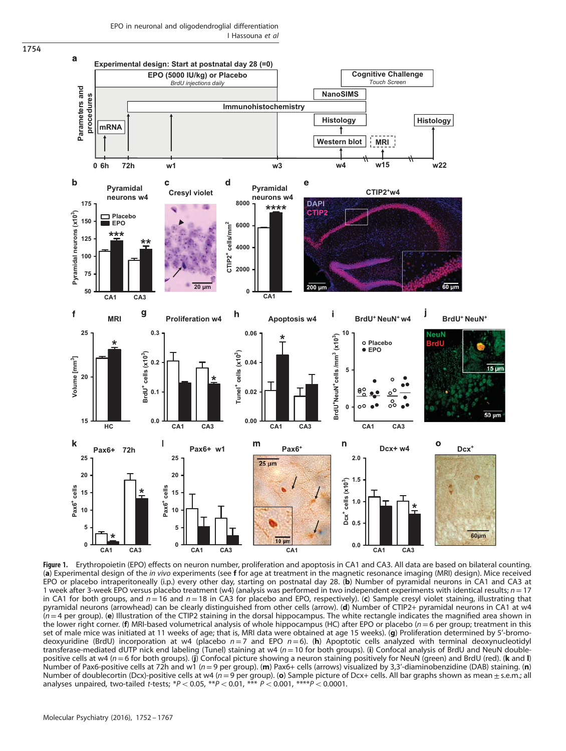EPO in neuronal and oligodendroglial differentiation I Hassouna et al

<span id="page-2-0"></span>

Figure 1. Erythropoietin (EPO) effects on neuron number, proliferation and apoptosis in CA1 and CA3. All data are based on bilateral counting. (a) Experimental design of the in vivo experiments (see f for age at treatment in the magnetic resonance imaging (MRI) design). Mice received EPO or placebo intraperitoneally (i.p.) every other day, starting on postnatal day 28. (b) Number of pyramidal neurons in CA1 and CA3 at 1 week after 3-week EPO versus placebo treatment (w4) (analysis was performed in two independent experiments with identical results;  $n = 17$ in CA1 for both groups, and  $n = 16$  and  $n = 18$  in CA3 for placebo and EPO, respectively). (c) Sample cresyl violet staining, illustrating that pyramidal neurons (arrowhead) can be clearly distinguished from other cells (arrow). (d) Number of CTIP2+ pyramidal neurons in CA1 at w4  $(n=4$  per group). (e) Illustration of the CTIP2 staining in the dorsal hippocampus. The white rectangle indicates the magnified area shown in the lower right corner. (f) MRI-based volumetrical analysis of whole hippocampus (HC) after EPO or placebo ( $n=6$  per group; treatment in this set of male mice was initiated at 11 weeks of age; that is, MRI data were obtained at age 15 weeks). (g) Proliferation determined by 5'-bromodeoxyuridine (BrdU) incorporation at w4 (placebo  $n=7$  and EPO  $n=6$ ). (h) Apoptotic cells analyzed with terminal deoxynucleotidyl transferase-mediated dUTP nick end labeling (Tunel) staining at w4  $(n=10$  for both groups). (i) Confocal analysis of BrdU and NeuN doublepositive cells at w4 ( $n = 6$  for both groups). (j) Confocal picture showing a neuron staining positively for NeuN (green) and BrdU (red). (k and I) Number of Pax6-positive cells at 72h and w1 ( $n=9$  per group). (m) Pax6+ cells (arrows) visualized by 3,3'-diaminobenzidine (DAB) staining. (n) Number of doublecortin (Dcx)-positive cells at w4 ( $n = 9$  per group). (o) Sample picture of Dcx+ cells. All bar graphs shown as mean  $\pm$  s.e.m.; all analyses unpaired, two-tailed t-tests; \*P < 0.05, \*\*P < 0.01, \*\*\* P < 0.001, \*\*\*\*P < 0.0001.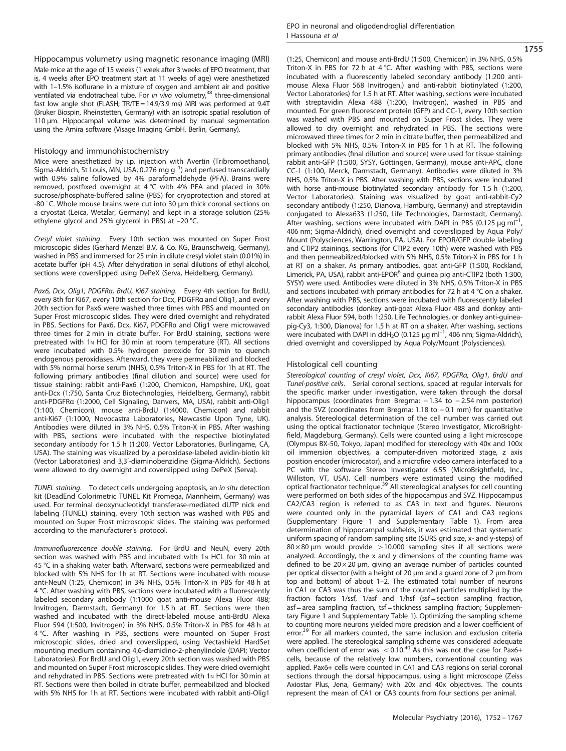Hippocampus volumetry using magnetic resonance imaging (MRI) Male mice at the age of 15 weeks (1 week after 3 weeks of EPO treatment, that is, 4 weeks after EPO treatment start at 11 weeks of age) were anesthetized with 1–1.5% isoflurane in a mixture of oxygen and ambient air and positive ventilated via endotracheal tube. For in vivo volumetry, $38$  three-dimensional fast low angle shot (FLASH; TR/TE = 14.9/3.9 ms) MRI was performed at 9.4T (Bruker Biospin, Rheinstetten, Germany) with an isotropic spatial resolution of 110 μm. Hippocampal volume was determined by manual segmentation using the Amira software (Visage Imaging GmbH, Berlin, Germany).

#### Histology and immunohistochemistry

Mice were anesthetized by i.p. injection with Avertin (Tribromoethanol, Sigma-Aldrich, St Louis, MN, USA, 0.276 mg  $g^{-1}$ ) and perfused transcardially with 0.9% saline followed by 4% paraformaldehyde (PFA). Brains were removed, postfixed overnight at 4 °C with 4% PFA and placed in 30% sucrose/phosphate-buffered saline (PBS) for cryoprotection and stored at -80 ˚C. Whole mouse brains were cut into 30 μm thick coronal sections on a cryostat (Leica, Wetzlar, Germany) and kept in a storage solution (25% ethylene glycol and 25% glycerol in PBS) at –20 °C.

Cresyl violet staining. Every 10th section was mounted on Super Frost microscopic slides (Gerhard Menzel B.V. & Co. KG, Braunschweig, Germany), washed in PBS and immersed for 25 min in dilute cresyl violet stain (0.01%) in acetate buffer (pH 4.5). After dehydration in serial dilutions of ethyl alcohol, sections were coverslipped using DePeX (Serva, Heidelberg, Germany).

Pax6, Dcx, Olig1, PDGFRa, BrdU, Ki67 staining. Every 4th section for BrdU, every 8th for Ki67, every 10th section for Dcx, PDGFRα and Olig1, and every 20th section for Pax6 were washed three times with PBS and mounted on Super Frost microscopic slides. They were dried overnight and rehydrated in PBS. Sections for Pax6, Dcx, Ki67, PDGFRα and Olig1 were microwaved three times for 2 min in citrate buffer. For BrdU staining, sections were pretreated with 1N HCl for 30 min at room temperature (RT). All sections were incubated with 0.5% hydrogen peroxide for 30 min to quench endogenous peroxidases. Afterward, they were permeabilized and blocked with 5% normal horse serum (NHS), 0.5% Triton-X in PBS for 1h at RT. The following primary antibodies (final dilution and source) were used for tissue staining: rabbit anti-Pax6 (1:200, Chemicon, Hampshire, UK), goat anti-Dcx (1:750, Santa Cruz Biotechnologies, Heidelberg, Germany), rabbit anti-PDGFRα (1:2000, Cell Signaling, Danvers, MA, USA), rabbit anti-Olig1 (1:100, Chemicon), mouse anti-BrdU (1:4000, Chemicon) and rabbit anti-Ki67 (1:1000, Novocastra Laboratories, Newcastle Upon Tyne, UK). Antibodies were diluted in 3% NHS, 0.5% Triton-X in PBS. After washing with PBS, sections were incubated with the respective biotinylated secondary antibody for 1.5 h (1:200, Vector Laboratories, Burlingame, CA, USA). The staining was visualized by a peroxidase-labeled avidin-biotin kit (Vector Laboratories) and 3,3'-diaminobenzidine (Sigma-Aldrich). Sections were allowed to dry overnight and coverslipped using DePeX (Serva).

TUNEL staining. To detect cells undergoing apoptosis, an in situ detection kit (DeadEnd Colorimetric TUNEL Kit Promega, Mannheim, Germany) was used. For terminal deoxynucleotidyl transferase-mediated dUTP nick end labeling (TUNEL) staining, every 10th section was washed with PBS and mounted on Super Frost microscopic slides. The staining was performed according to the manufacturer's protocol.

Immunofluorescence double staining. For BrdU and NeuN, every 20th section was washed with PBS and incubated with 1N HCL for 30 min at 45 °C in a shaking water bath. Afterward, sections were permeabilized and blocked with 5% NHS for 1h at RT. Sections were incubated with mouse anti-NeuN (1:25, Chemicon) in 3% NHS, 0.5% Triton-X in PBS for 48 h at 4 °C. After washing with PBS, sections were incubated with a fluorescently labeled secondary antibody (1:1000 goat anti-mouse Alexa Fluor 488; Invitrogen, Darmstadt, Germany) for 1.5 h at RT. Sections were then washed and incubated with the direct-labeled mouse anti-BrdU Alexa Fluor 594 (1:500, Invitrogen) in 3% NHS, 0.5% Triton-X in PBS for 48 h at 4 °C. After washing in PBS, sections were mounted on Super Frost microscopic slides, dried and coverslipped, using Vectashield HardSet mounting medium containing 4,6-diamidino-2-phenylindole (DAPI; Vector Laboratories). For BrdU and Olig1, every 20th section was washed with PBS and mounted on Super Frost microscopic slides. They were dried overnight and rehydrated in PBS. Sections were pretreated with 1N HCl for 30 min at RT. Sections were then boiled in citrate buffer, permeabilized and blocked with 5% NHS for 1h at RT. Sections were incubated with rabbit anti-Olig1

(1:25, Chemicon) and mouse anti-BrdU (1:500, Chemicon) in 3% NHS, 0.5% Triton-X in PBS for 72 h at 4 °C. After washing with PBS, sections were incubated with a fluorescently labeled secondary antibody (1:200 antimouse Alexa Fluor 568 Invitrogen,) and anti-rabbit biotinylated (1:200, Vector Laboratories) for 1.5 h at RT. After washing, sections were incubated with streptavidin Alexa 488 (1:200, Invitrogen), washed in PBS and mounted. For green fluorescent protein (GFP) and CC-1, every 10th section was washed with PBS and mounted on Super Frost slides. They were allowed to dry overnight and rehydrated in PBS. The sections were microwaved three times for 2 min in citrate buffer, then permeabilized and blocked with 5% NHS, 0.5% Triton-X in PBS for 1 h at RT. The following primary antibodies (final dilution and source) were used for tissue staining: rabbit anti-GFP (1:500, SYSY, Göttingen, Germany), mouse anti-APC, clone CC-1 (1:100, Merck, Darmstadt, Germany). Antibodies were diluted in 3% NHS, 0.5% Triton-X in PBS. After washing with PBS, sections were incubated with horse anti-mouse biotinylated secondary antibody for 1.5 h (1:200, Vector Laboratories). Staining was visualized by goat anti-rabbit-Cy2 secondary antibody (1:250, Dianova, Hamburg, Germany) and streptavidin conjugated to Alexa633 (1:250, Life Technologies, Darmstadt, Germany). After washing, sections were incubated with DAPI in PBS (0.125  $\mu$ g ml<sup>-1</sup>, , 406 nm; Sigma-Aldrich), dried overnight and coverslipped by Aqua Poly/ Mount (Polysciences, Warrington, PA, USA). For EPOR/GFP double labeling and CTIP2 stainings, sections (for CTIP2 every 10th) were washed with PBS and then permeabilized/blocked with 5% NHS, 0.5% Triton-X in PBS for 1 h at RT on a shaker. As primary antibodies, goat anti-GFP (1:500, Rockland, Limerick, PA, USA), rabbit anti-EPOR<sup>[6](#page-14-0)</sup> and guinea pig anti-CTIP2 (both 1:300, SYSY) were used. Antibodies were diluted in 3% NHS, 0.5% Triton-X in PBS and sections incubated with primary antibodies for 72 h at 4 °C on a shaker. After washing with PBS, sections were incubated with fluorescently labeled secondary antibodies (donkey anti-goat Alexa Fluor 488 and donkey antirabbit Alexa Fluor 594, both 1:250, Life Technologies, or donkey anti-guineapig-Cy3, 1:300, Dianova) for 1.5 h at RT on a shaker. After washing, sections were incubated with DAPI in ddH<sub>2</sub>O (0.125  $\mu$ g ml<sup>-1</sup>, 406 nm; Sigma-Aldrich), dried overnight and coverslipped by Aqua Poly/Mount (Polysciences).

#### Histological cell counting

Stereological counting of cresyl violet, Dcx, Ki67, PDGFRα, Olig1, BrdU and Tunel-positive cells. Serial coronal sections, spaced at regular intervals for the specific marker under investigation, were taken through the dorsal hippocampus (coordinates from Bregma: −1.34 to −2.54 mm posterior) and the SVZ (coordinates from Bregma: 1.18 to − 0.1 mm) for quantitative analysis. Stereological determination of the cell number was carried out using the optical fractionator technique (Stereo Investigator, MicroBrightfield, Magdeburg, Germany). Cells were counted using a light microscope (Olympus BX-50, Tokyo, Japan) modified for stereology with 40x and 100x oil immersion objectives, a computer-driven motorized stage, z axis position encoder (microcator), and a microfire video camera interfaced to a PC with the software Stereo Investigator 6.55 (MicroBrightfield, Inc., Williston, VT, USA). Cell numbers were estimated using the modified optical fractionator technique[.39](#page-14-0) All stereological analyses for cell counting were performed on both sides of the hippocampus and SVZ. Hippocampus CA2/CA3 region is referred to as CA3 in text and figures. Neurons were counted only in the pyramidal layers of CA1 and CA3 regions (Supplementary Figure 1 and Supplementary Table 1). From area determination of hippocampal subfields, it was estimated that systematic uniform spacing of random sampling site (SURS grid size, x- and y-steps) of  $80 \times 80$  µm would provide  $>10.000$  sampling sites if all sections were analyzed. Accordingly, the x and y dimensions of the counting frame was defined to be  $20 \times 20$  µm, giving an average number of particles counted per optical dissector (with a height of 20 μm and a guard zone of 2 μm from top and bottom) of about 1–2. The estimated total number of neurons in CA1 or CA3 was thus the sum of the counted particles multiplied by the fraction factors 1/ssf, 1/asf and 1/hsf (ssf = section sampling fraction, asf = area sampling fraction, tsf = thickness sampling fraction; Supplementary Figure 1 and Supplementary Table 1). Optimizing the sampling scheme to counting more neurons yielded more precision and a lower coefficient of error.<sup>39</sup> For all markers counted, the same inclusion and exclusion criteria were applied. The stereological sampling scheme was considered adequate when coefficient of error was  $< 0.10<sup>40</sup>$  $< 0.10<sup>40</sup>$  $< 0.10<sup>40</sup>$  As this was not the case for Pax6+ cells, because of the relatively low numbers, conventional counting was applied. Pax6+ cells were counted in CA1 and CA3 regions on serial coronal sections through the dorsal hippocampus, using a light microscope (Zeiss Axiostar Plus, Jena, Germany) with 20x and 40x objectives. The counts represent the mean of CA1 or CA3 counts from four sections per animal.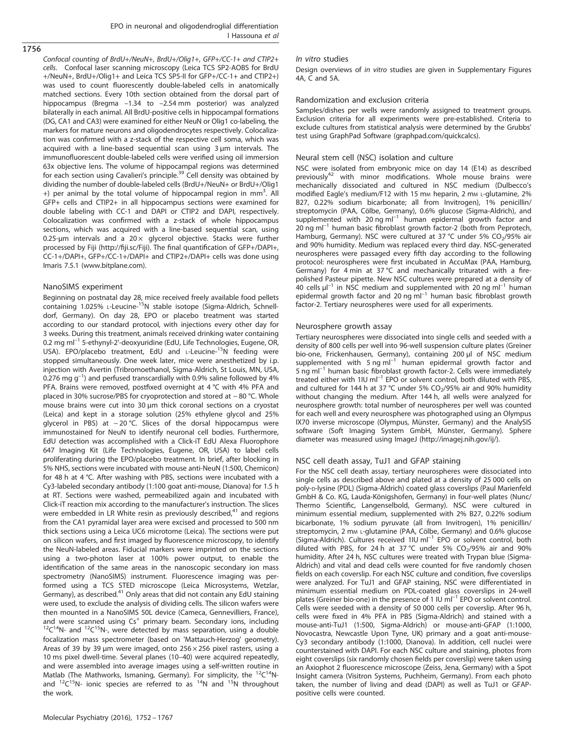Confocal counting of BrdU+/NeuN+, BrdU+/Olig1+, GFP+/CC-1+ and CTIP2+ cells. Confocal laser scanning microscopy (Leica TCS SP2-AOBS for BrdU +/NeuN+, BrdU+/Olig1+ and Leica TCS SP5-II for GFP+/CC-1+ and CTIP2+) was used to count fluorescently double-labeled cells in anatomically matched sections. Every 10th section obtained from the dorsal part of hippocampus (Bregma –1.34 to –2.54 mm posterior) was analyzed bilaterally in each animal. All BrdU-positive cells in hippocampal formations (DG, CA1 and CA3) were examined for either NeuN or Olig1 co-labeling, the markers for mature neurons and oligodendrocytes respectively. Colocalization was confirmed with a z-stack of the respective cell soma, which was acquired with a line-based sequential scan using 3 μm intervals. The immunofluorescent double-labeled cells were verified using oil immersion 63x objective lens. The volume of hippocampal regions was determined for each section using Cavalieri's principle.[39](#page-14-0) Cell density was obtained by dividing the number of double-labeled cells (BrdU+/NeuN+ or BrdU+/Olig1 +) per animal by the total volume of hippocampal region in mm<sup>3</sup>. All GFP+ cells and CTIP2+ in all hippocampus sections were examined for double labeling with CC-1 and DAPI or CTIP2 and DAPI, respectively. Colocalization was confirmed with a z-stack of whole hippocampus sections, which was acquired with a line-based sequential scan, using 0.25- $\mu$ m intervals and a 20 $\times$  glycerol objective. Stacks were further processed by Fiji (http://fiji.sc/Fiji). The final quantification of GFP+/DAPI+, CC-1+/DAPI+, GFP+/CC-1+/DAPI+ and CTIP2+/DAPI+ cells was done using Imaris 7.5.1 (<www.bitplane.com>).

### NanoSIMS experiment

Beginning on postnatal day 28, mice received freely available food pellets containing 1.025% L-Leucine-15N stable isotope (Sigma-Aldrich, Schnelldorf, Germany). On day 28, EPO or placebo treatment was started according to our standard protocol, with injections every other day for 3 weeks. During this treatment, animals received drinking water containing 0.2 mg ml<sup>-1</sup> 5-ethynyl-2'-deoxyuridine (EdU, Life Technologies, Eugene, OR, USA). EPO/placebo treatment, EdU and L-Leucine-<sup>15</sup>N feeding were stopped simultaneously. One week later, mice were anesthetized by i.p. injection with Avertin (Tribromoethanol, Sigma-Aldrich, St Louis, MN, USA,  $0.276$  mg g<sup>-1</sup>) and perfused transcardially with 0.9% saline followed by 4% PFA. Brains were removed, postfixed overnight at 4 °C with 4% PFA and placed in 30% sucrose/PBS for cryoprotection and stored at − 80 °C. Whole mouse brains were cut into 30 μm thick coronal sections on a cryostat (Leica) and kept in a storage solution (25% ethylene glycol and 25% glycerol in PBS) at − 20 °C. Slices of the dorsal hippocampus were immunostained for NeuN to identify neuronal cell bodies. Furthermore, EdU detection was accomplished with a Click-iT EdU Alexa Fluorophore 647 Imaging Kit (Life Technologies, Eugene, OR, USA) to label cells proliferating during the EPO/placebo treatment. In brief, after blocking in 5% NHS, sections were incubated with mouse anti-NeuN (1:500, Chemicon) for 48 h at 4 °C. After washing with PBS, sections were incubated with a Cy3-labeled secondary antibody (1:100 goat anti-mouse, Dianova) for 1.5 h at RT. Sections were washed, permeabilized again and incubated with Click-iT reaction mix according to the manufacturer's instruction. The slices were embedded in LR White resin as previously described, $41$  and regions from the CA1 pyramidal layer area were excised and processed to 500 nm thick sections using a Leica UC6 microtome (Leica). The sections were put on silicon wafers, and first imaged by fluorescence microscopy, to identify the NeuN-labeled areas. Fiducial markers were imprinted on the sections using a two-photon laser at 100% power output, to enable the identification of the same areas in the nanoscopic secondary ion mass spectrometry (NanoSIMS) instrument. Fluorescence imaging was performed using a TCS STED microscope (Leica Microsystems, Wetzlar, Germany), as described.[41](#page-14-0) Only areas that did not contain any EdU staining were used, to exclude the analysis of dividing cells. The silicon wafers were then mounted in a NanoSIMS 50L device (Cameca, Gennevilliers, France), and were scanned using  $Cs<sup>+</sup>$  primary beam. Secondary ions, including  $12C^{14}N$ - and  $12C^{15}N$ -, were detected by mass separation, using a double focalization mass spectrometer (based on 'Mattauch-Herzog' geometry). Areas of 39 by 39  $\mu$ m were imaged, onto 256 × 256 pixel rasters, using a 10 ms pixel dwell-time. Several planes (10–40) were acquired repeatedly, and were assembled into average images using a self-written routine in Matlab (The Mathworks, Ismaning, Germany). For simplicity, the  $^{12}C^{14}N$ and  ${}^{12}C^{15}N$ - ionic species are referred to as  ${}^{14}N$  and  ${}^{15}N$  throughout the work.

Molecular Psychiatry (2016), 1752 – 1767

## In vitro studies

Design overviews of in vitro studies are given in Supplementary Figures 4A, C and 5A.

#### Randomization and exclusion criteria

Samples/dishes per wells were randomly assigned to treatment groups. Exclusion criteria for all experiments were pre-established. Criteria to exclude cultures from statistical analysis were determined by the Grubbs' test using GraphPad Software (graphpad.com/quickcalcs).

#### Neural stem cell (NSC) isolation and culture

NSC were isolated from embryonic mice on day 14 (E14) as described previously<sup>[42](#page-14-0)</sup> with minor modifications. Whole mouse brains were mechanically dissociated and cultured in NSC medium (Dulbecco's modified Eagle's medium/F12 with 15 mm heparin, 2 mm L-glutamine, 2% B27, 0.22% sodium bicarbonate; all from Invitrogen), 1% penicillin/ streptomycin (PAA, Cölbe, Germany), 0.6% glucose (Sigma-Aldrich), and supplemented with  $20 \text{ ng m}^{-1}$  human epidermal growth factor and 20 ng ml<sup>-1</sup> human basic fibroblast growth factor-2 (both from Peprotech, Hamburg, Germany). NSC were cultured at 37 °C under 5%  $CO<sub>2</sub>/95%$  air and 90% humidity. Medium was replaced every third day. NSC-generated neurospheres were passaged every fifth day according to the following protocol: neurospheres were first incubated in AccuMax (PAA, Hamburg, Germany) for 4 min at 37 °C and mechanically triturated with a firepolished Pasteur pipette. New NSC cultures were prepared at a density of  $40$  cells  $\mu$ <sup>-1</sup> in NSC medium and supplemented with 20 ng ml<sup>-1</sup> human epidermal growth factor and 20 ng ml<sup>-1</sup> human basic fibroblast growth factor-2. Tertiary neurospheres were used for all experiments.

#### Neurosphere growth assay

Tertiary neurospheres were dissociated into single cells and seeded with a density of 800 cells per well into 96-well suspension culture plates (Greiner bio-one, Frickenhausen, Germany), containing 200 μl of NSC medium supplemented with 5 ng  $ml^{-1}$  human epidermal growth factor and 5 ng ml–<sup>1</sup> human basic fibroblast growth factor-2. Cells were immediately treated either with 1IU ml<sup>-1</sup> EPO or solvent control, both diluted with PBS, and cultured for 144 h at 37 °C under 5%  $CO<sub>2</sub>/95$ % air and 90% humidity without changing the medium. After 144 h, all wells were analyzed for neurosphere growth: total number of neurospheres per well was counted for each well and every neurosphere was photographed using an Olympus IX70 inverse microscope (Olympus, Münster, Germany) and the AnalySIS software (Soft Imaging System GmbH, Münster, Germany). Sphere diameter was measured using ImageJ (<http://imagej.nih.gov/ij/>).

# NSC cell death assay, TuJ1 and GFAP staining

For the NSC cell death assay, tertiary neurospheres were dissociated into single cells as described above and plated at a density of 25 000 cells on poly-D-lysine (PDL) (Sigma-Aldrich) coated glass coverslips (Paul Marienfeld GmbH & Co. KG, Lauda-Königshofen, Germany) in four-well plates (Nunc/ Thermo Scientific, Langenselbold, Germany). NSC were cultured in minimum essential medium, supplemented with 2% B27, 0.22% sodium bicarbonate, 1% sodium pyruvate (all from Invitrogen), 1% penicillin/ streptomycin, 2 mm L-glutamine (PAA, Cölbe, Germany) and 0.6% glucose (Sigma-Aldrich). Cultures received 1IU ml–<sup>1</sup> EPO or solvent control, both diluted with PBS, for 24 h at 37 °C under 5% CO<sub>2</sub>/95% air and 90% humidity. After 24 h, NSC cultures were treated with Trypan blue (Sigma-Aldrich) and vital and dead cells were counted for five randomly chosen fields on each coverslip. For each NSC culture and condition, five coverslips were analyzed. For TuJ1 and GFAP staining, NSC were differentiated in minimum essential medium on PDL-coated glass coverslips in 24-well plates (Greiner bio-one) in the presence of 1 IU  $ml^{-1}$  EPO or solvent control. Cells were seeded with a density of 50 000 cells per coverslip. After 96 h, cells were fixed in 4% PFA in PBS (Sigma-Aldrich) and stained with a mouse-anti-TuJ1 (1:500, Sigma-Aldrich) or mouse-anti-GFAP (1:1000, Novocastra, Newcastle Upon Tyne, UK) primary and a goat anti-mouse-Cy3 secondary antibody (1:1000, Dianova). In addition, cell nuclei were counterstained with DAPI. For each NSC culture and staining, photos from eight coverslips (six randomly chosen fields per coverslip) were taken using an Axiophot 2 fluorescence microscope (Zeiss, Jena, Germany) with a Spot Insight camera (Visitron Systems, Puchheim, Germany). From each photo taken, the number of living and dead (DAPI) as well as TuJ1 or GFAPpositive cells were counted.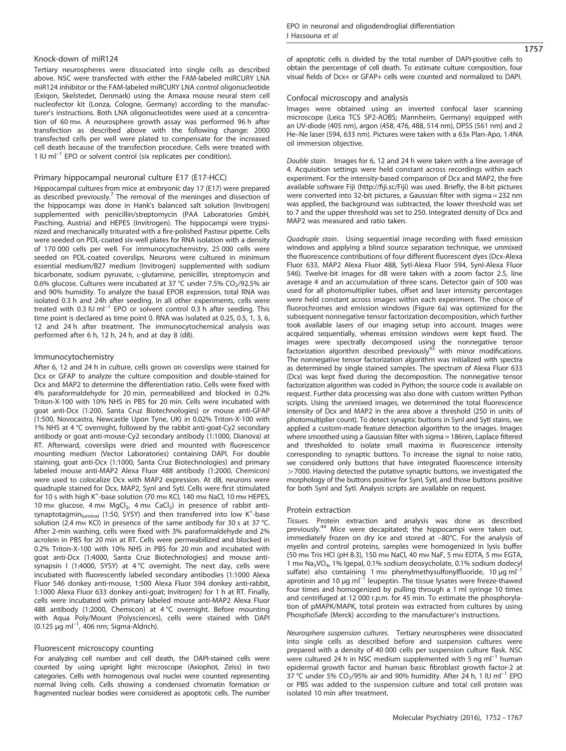#### Knock-down of miR124

Tertiary neurospheres were dissociated into single cells as described above. NSC were transfected with either the FAM-labeled miRCURY LNA miR124 inhibitor or the FAM-labeled miRCURY LNA control oligonucleotide (Exiqon, Skelstedet, Denmark) using the Amaxa mouse neural stem cell nucleofector kit (Lonza, Cologne, Germany) according to the manufacturer's instructions. Both LNA oligonucleotides were used at a concentration of 60 mm. A neurosphere growth assay was performed 96 h after transfection as described above with the following change: 2000 transfected cells per well were plated to compensate for the increased cell death because of the transfection procedure. Cells were treated with 1 IU  $ml^{-1}$  EPO or solvent control (six replicates per condition).

## Primary hippocampal neuronal culture E17 (E17-HCC)

Hippocampal cultures from mice at embryonic day 17 (E17) were prepared as described previously.<sup>7</sup> The removal of the meninges and dissection of the hippocampi was done in Hank's balanced salt solution (Invitrogen) supplemented with penicillin/streptomycin (PAA Laboratories GmbH, Pasching, Austria) and HEPES (Invitrogen). The hippocampi were trypsinized and mechanically triturated with a fire-polished Pasteur pipette. Cells were seeded on PDL-coated six-well plates for RNA isolation with a density of 170 000 cells per well. For immunocytochemistry, 25 000 cells were seeded on PDL-coated coverslips. Neurons were cultured in minimum essential medium/B27 medium (Invitrogen) supplemented with sodium bicarbonate, sodium pyruvate, L-glutamine, penicillin, streptomycin and 0.6% glucose. Cultures were incubated at 37 °C under 7.5% CO<sub>2</sub>/92.5% air and 90% humidity. To analyze the basal EPOR expression, total RNA was isolated 0.3 h and 24h after seeding. In all other experiments, cells were treated with  $0.3$  IU ml<sup>-1</sup> EPO or solvent control 0.3 h after seeding. This time point is declared as time point 0. RNA was isolated at 0.25, 0.5, 1, 3, 6, 12 and 24 h after treatment. The immunocytochemical analysis was performed after 6 h, 12 h, 24 h, and at day 8 (d8).

#### Immunocytochemistry

After 6, 12 and 24 h in culture, cells grown on coverslips were stained for Dcx or GFAP to analyze the culture composition and double-stained for Dcx and MAP2 to determine the differentiation ratio. Cells were fixed with 4% paraformaldehyde for 20 min, permeabilized and blocked in 0.2% Triton-X-100 with 10% NHS in PBS for 20 min. Cells were incubated with goat anti-Dcx (1:200, Santa Cruz Biotechnologies) or mouse anti-GFAP (1:500, Novocastra, Newcastle Upon Tyne, UK) in 0.02% Triton-X-100 with 1% NHS at 4 °C overnight, followed by the rabbit anti-goat-Cy2 secondary antibody or goat anti-mouse-Cy2 secondary antibody (1:1000, Dianova) at RT. Afterward, coverslips were dried and mounted with fluorescence mounting medium (Vector Laboratories) containing DAPI. For double staining, goat anti-Dcx (1:1000, Santa Cruz Biotechnologies) and primary labeled mouse anti-MAP2 Alexa Fluor 488 antibody (1:2000, Chemicon) were used to colocalize Dcx with MAP2 expression. At d8, neurons were quadruple stained for Dcx, MAP2, SynI and SytI. Cells were first stimulated for 10 s with high K<sup>+</sup>-base solution (70 mm KCl, 140 mm NaCl, 10 mm HEPES, 10 mm glucose, 4 mm  $MgCl<sub>2</sub>$ , 4 mm  $CaCl<sub>2</sub>$ ) in presence of rabbit antisynaptotagmin<sub>luminal</sub> (1:50, SYSY) and then transferred into low K<sup>+</sup>-base solution (2.4 mm KCl) in presence of the same antibody for 30 s at 37 °C. After 2-min washing, cells were fixed with 3% paraformaldehyde and 2% acrolein in PBS for 20 min at RT. Cells were permeabilized and blocked in 0.2% Triton-X-100 with 10% NHS in PBS for 20 min and incubated with goat anti-Dcx (1:4000, Santa Cruz Biotechnologies) and mouse antisynapsin I (1:4000, SYSY) at 4 °C overnight. The next day, cells were incubated with fluorescently labeled secondary antibodies (1:1000 Alexa Fluor 546 donkey anti-mouse, 1:500 Alexa Fluor 594 donkey anti-rabbit, 1:1000 Alexa Fluor 633 donkey anti-goat; Invitrogen) for 1 h at RT. Finally, cells were incubated with primary labeled mouse anti-MAP2 Alexa Fluor 488 antibody (1:2000, Chemicon) at 4 °C overnight. Before mounting with Aqua Poly/Mount (Polysciences), cells were stained with DAPI  $(0.125 \mu g \text{ ml}^{-1}, 406 \text{ nm}; \text{Sigma-Aldrich}).$ 

#### Fluorescent microscopy counting

For analyzing cell number and cell death, the DAPI-stained cells were counted by using upright light microscope (Axiophot, Zeiss) in two categories. Cells with homogenous oval nuclei were counted representing normal living cells. Cells showing a condensed chromatin formation or fragmented nuclear bodies were considered as apoptotic cells. The number 1757

of apoptotic cells is divided by the total number of DAPI-positive cells to obtain the percentage of cell death. To estimate culture composition, four visual fields of Dcx+ or GFAP+ cells were counted and normalized to DAPI.

# Confocal microscopy and analysis

Images were obtained using an inverted confocal laser scanning microscope (Leica TCS SP2-AOBS; Mannheim, Germany) equipped with an UV-diode (405 nm), argon (458, 476, 488, 514 nm), DPSS (561 nm) and 2 He–Ne laser (594, 633 nm). Pictures were taken with a 63x Plan-Apo, 1.4NA oil immersion objective.

Double stain. Images for 6, 12 and 24 h were taken with a line average of 4. Acquisition settings were held constant across recordings within each experiment. For the intensity-based comparison of Dcx and MAP2, the free available software Fiji (http://fi[ji.sc/Fiji\)](http://fiji.sc/Fiji) was used. Briefly, the 8-bit pictures were converted into 32-bit pictures, a Gaussian filter with sigma = 232 nm was applied, the background was subtracted, the lower threshold was set to 7 and the upper threshold was set to 250. Integrated density of Dcx and MAP2 was measured and ratio taken.

Quadruple stain. Using sequential image recording with fixed emission windows and applying a blind source separation technique, we unmixed the fluorescence contributions of four different fluorescent dyes (Dcx-Alexa Fluor 633, MAP2 Alexa Fluor 488, SytI-Alexa Fluor 594, SynI-Alexa Fluor 546). Twelve-bit images for d8 were taken with a zoom factor 2.5, line average 4 and an accumulation of three scans. Detector gain of 500 was used for all photomultiplier tubes, offset and laser intensity percentages were held constant across images within each experiment. The choice of fluorochromes and emission windows ([Figure 6a\)](#page-12-0) was optimized for the subsequent nonnegative tensor factorization decomposition, which further took available lasers of our imaging setup into account. Images were acquired sequentially, whereas emission windows were kept fixed. The images were spectrally decomposed using the nonnegative tensor<br>factorization algorithm described previously<sup>[43](#page-14-0)</sup> with minor modifications. The nonnegative tensor factorization algorithm was initialized with spectra as determined by single stained samples. The spectrum of Alexa Fluor 633 (Dcx) was kept fixed during the decomposition. The nonnegative tensor factorization algorithm was coded in Python; the source code is available on request. Further data processing was also done with custom written Python scripts. Using the unmixed images, we determined the total fluorescence intensity of Dcx and MAP2 in the area above a threshold (250 in units of photomultiplier count). To detect synaptic buttons in SynI and SytI stains, we applied a custom-made feature detection algorithm to the images. Images where smoothed using a Gaussian filter with sigma = 186nm, Laplace filtered and thresholded to isolate small maxima in fluorescence intensity corresponding to synaptic buttons. To increase the signal to noise ratio, we considered only buttons that have integrated fluorescence intensity  $>$  7000. Having detected the putative synaptic buttons, we investigated the morphology of the buttons positive for SynI, SytI, and those buttons positive for both SynI and SytI. Analysis scripts are available on request.

### Protein extraction

Tissues. Protein extraction and analysis was done as described previously.[44](#page-14-0) Mice were decapitated; the hippocampi were taken out, immediately frozen on dry ice and stored at –80°C. For the analysis of myelin and control proteins, samples were homogenized in lysis buffer (50 mm Tris HCl (pH 8.3), 150 mm NaCl, 40 mm NaF, 5 mm EDTA, 5 mm EGTA, 1 mM Na3VO4, 1% Igepal, 0.1% sodium deoxycholate, 0.1% sodium dodecyl sulfate) also containing 1 mm phenylmethysulfonylfluoride, 10 μg ml<sup>-1</sup> aprotinin and 10 μg ml<sup>-1</sup> leupeptin. The tissue lysates were freeze-thawed four times and homogenized by pulling through a 1 ml syringe 10 times and centrifuged at 12 000 r.p.m. for 45 min. To estimate the phosphorylation of pMAPK/MAPK, total protein was extracted from cultures by using PhosphoSafe (Merck) according to the manufacturer's instructions.

Neurosphere suspension cultures. Tertiary neurospheres were dissociated into single cells as described before and suspension cultures were prepared with a density of 40 000 cells per suspension culture flask. NSC were cultured 24 h in NSC medium supplemented with 5 ng m $I^{-1}$  human epidermal growth factor and human basic fibroblast growth factor-2 at 37 °C under 5% CO<sub>2</sub>/95% air and 90% humidity. After 24 h, 1 IU ml<sup>-1</sup> EPO or PBS was added to the suspension culture and total cell protein was isolated 10 min after treatment.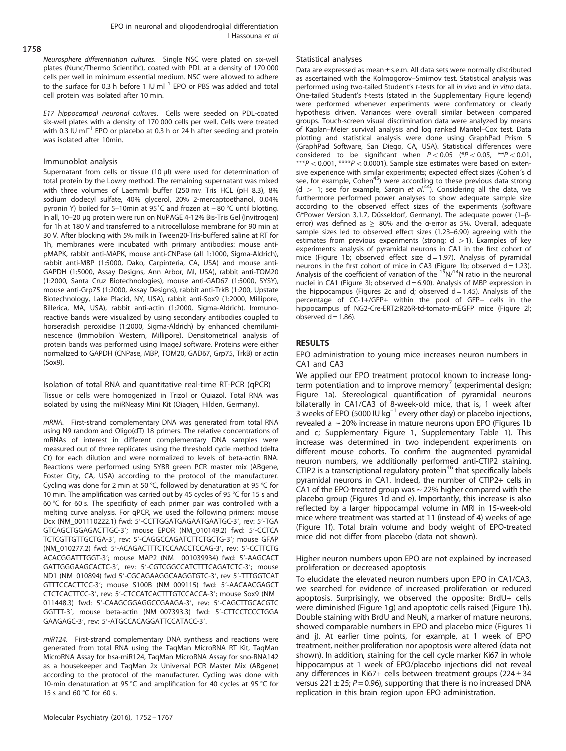Neurosphere differentiation cultures. Single NSC were plated on six-well plates (Nunc/Thermo Scientific), coated with PDL at a density of 170 000 cells per well in minimum essential medium. NSC were allowed to adhere to the surface for 0.3 h before 1 IU  $ml^{-1}$  EPO or PBS was added and total cell protein was isolated after 10 min.

E17 hippocampal neuronal cultures. Cells were seeded on PDL-coated six-well plates with a density of 170 000 cells per well. Cells were treated with 0.3 IU ml<sup>-1</sup> EPO or placebo at 0.3 h or 24 h after seeding and protein was isolated after 10min.

# Immunoblot analysis

Supernatant from cells or tissue (10 μl) were used for determination of total protein by the Lowry method. The remaining supernatant was mixed with three volumes of Laemmli buffer (250 mm Tris HCL (pH 8.3), 8% sodium dodecyl sulfate, 40% glycerol, 20% 2-mercaptoethanol, 0.04% pyronin Y) boiled for 5–10min at 95˚C and frozen at − 80 °C until blotting. In all, 10–20 μg protein were run on NuPAGE 4-12% Bis-Tris Gel (Invitrogen) for 1h at 180 V and transferred to a nitrocellulose membrane for 90 min at 30 V. After blocking with 5% milk in Tween20-Tris-buffered saline at RT for 1h, membranes were incubated with primary antibodies: mouse antipMAPK, rabbit anti-MAPK, mouse anti-CNPase (all 1:1000, Sigma-Aldrich), rabbit anti-MBP (1:5000, Dako, Carpinteria, CA, USA) and mouse anti-GAPDH (1:5000, Assay Designs, Ann Arbor, MI, USA), rabbit anti-TOM20 (1:2000, Santa Cruz Biotechnologies), mouse anti-GAD67 (1:5000, SYSY), mouse anti-Grp75 (1:2000, Assay Designs), rabbit anti-TrkB (1:200, Upstate Biotechnology, Lake Placid, NY, USA), rabbit anti-Sox9 (1:2000, Millipore, Billerica, MA, USA), rabbit anti-actin (1:2000, Sigma-Aldrich). Immunoreactive bands were visualized by using secondary antibodies coupled to horseradish peroxidise (1:2000, Sigma-Aldrich) by enhanced chemiluminescence (Immobilon Western, Millipore). Densitometrical analysis of protein bands was performed using ImageJ software. Proteins were either normalized to GAPDH (CNPase, MBP, TOM20, GAD67, Grp75, TrkB) or actin (Sox9).

Isolation of total RNA and quantitative real-time RT-PCR (qPCR) Tissue or cells were homogenized in Trizol or Quiazol. Total RNA was isolated by using the miRNeasy Mini Kit (Qiagen, Hilden, Germany).

mRNA. First-strand complementary DNA was generated from total RNA using N9 random and Oligo(dT) 18 primers. The relative concentrations of mRNAs of interest in different complementary DNA samples were measured out of three replicates using the threshold cycle method (delta Ct) for each dilution and were normalized to levels of beta-actin RNA. Reactions were performed using SYBR green PCR master mix (ABgene, Foster City, CA, USA) according to the protocol of the manufacturer. Cycling was done for 2 min at 50 °C, followed by denaturation at 95 °C for 10 min. The amplification was carried out by 45 cycles of 95 °C for 15 s and 60 °C for 60 s. The specificity of each primer pair was controlled with a melting curve analysis. For qPCR, we used the following primers: mouse Dcx (NM\_001110222.1) fwd: 5′-CCTTGGATGAGAATGAATGC-3′, rev: 5′-TGA GTCAGCTGGAGACTTGC-3′; mouse EPOR (NM\_010149.2) fwd: 5′-CCTCA TCTCGTTGTTGCTGA-3′, rev: 5′-CAGGCCAGATCTTCTGCTG-3′; mouse GFAP (NM\_010277.2) fwd: 5′-ACAGACTTTCTCCAACCTCCAG-3′, rev: 5′-CCTTCTG ACACGGATTTGGT-3′; mouse MAP2 (NM\_ 001039934) fwd: 5′-AAGCACT GATTGGGAAGCACTC-3′, rev: 5′-CGTCGGCCATCTTTCAGATCTC-3′; mouse ND1 (NM\_010894) fwd 5′-CGCAGAAGGCAAGGTGTC-3′, rev 5′-TTTGGTCAT GTTTCCACTTCC-3′; mouse S100B (NM\_009115) fwd: 5′-AACAACGAGCT CTCTCACTTCC-3′, rev: 5′-CTCCATCACTTTGTCCACCA-3′; mouse Sox9 (NM\_ 011448.3) fwd: 5′-CAAGCGGAGGCCGAAGA-3′, rev: 5′-CAGCTTGCACGTC GGTTT-3′, mouse beta-actin (NM\_007393.3) fwd: 5′-CTTCCTCCCTGGA GAAGAGC-3′, rev: 5′-ATGCCACAGGATTCCATACC-3′.

miR124. First-strand complementary DNA synthesis and reactions were generated from total RNA using the TaqMan MicroRNA RT Kit, TaqMan MicroRNA Assay for hsa-miR124, TaqMan MicroRNA Assay for sno-RNA142 as a housekeeper and TaqMan 2x Universal PCR Master Mix (ABgene) according to the protocol of the manufacturer. Cycling was done with 10-min denaturation at 95 °C and amplification for 40 cycles at 95 °C for 15 s and 60 °C for 60 s.

# Molecular Psychiatry (2016), 1752 – 1767

#### Statistical analyses

Data are expressed as mean ± s.e.m. All data sets were normally distributed as ascertained with the Kolmogorov–Smirnov test. Statistical analysis was performed using two-tailed Student's t-tests for all in vivo and in vitro data. One-tailed Student's t-tests (stated in the Supplementary Figure legend) were performed whenever experiments were confirmatory or clearly hypothesis driven. Variances were overall similar between compared groups. Touch-screen visual discrimination data were analyzed by means of Kaplan–Meier survival analysis and log ranked Mantel–Cox test. Data plotting and statistical analysis were done using GraphPad Prism 5 (GraphPad Software, San Diego, CA, USA). Statistical differences were considered to be significant when  $P < 0.05$  (\*P $< 0.05$ , \*\*P $< 0.01$ ,  $***P<0.001$ ,  $***P<0.0001$ ). Sample size estimates were based on extensive experience with similar experiments; expected effect sizes (Cohen´s d see, for example, Cohen<sup>45</sup>) were according to these previous data strong (d > 1; see for example, Sargin et  $al^{44}$  $al^{44}$  $al^{44}$ ). Considering all the data, we furthermore performed power analyses to show adequate sample size according to the observed effect sizes of the experiments (software G\*Power Version 3.1.7, Düsseldorf, Germany). The adequate power (1–βerror) was defined as  $\geq 80\%$  and the α-error as 5%. Overall, adequate sample sizes led to observed effect sizes (1.23–6.90) agreeing with the estimates from previous experiments (strong;  $d > 1$ ). Examples of key experiments: analysis of pyramidal neurons in CA1 in the first cohort of mice [\(Figure 1b](#page-2-0); observed effect size  $d = 1.97$ ). Analysis of pyramidal neurons in the first cohort of mice in CA3 ([Figure 1b](#page-2-0); observed  $d = 1.23$ ). Analysis of the coefficient of variation of the  $15N/14N$  ratio in the neuronal nuclei in CA1 (Figure 3I; observed  $d = 6.90$ ). Analysis of MBP expression in the hippocampus ([Figures 2c and d](#page-7-0); observed  $d = 1.45$ ). Analysis of the percentage of CC-1+/GFP+ within the pool of GFP+ cells in the hippocampus of NG2-Cre-ERT2:R26R-td-tomato-mEGFP mice ([Figure 2l;](#page-7-0) observed  $d = 1.86$ ).

# RESULTS

EPO administration to young mice increases neuron numbers in CA1 and CA3

We applied our EPO treatment protocol known to increase long-term potentiation and to improve memory<sup>[7](#page-14-0)</sup> (experimental design; [Figure 1a\)](#page-2-0). Stereological quantification of pyramidal neurons bilaterally in CA1/CA3 of 8-week-old mice, that is, 1 week after 3 weeks of EPO (5000 IU kg<sup>-1</sup> every other day) or placebo injections, revealed a ~ 20% increase in mature neurons upon EPO [\(Figures 1b](#page-2-0) [and c;](#page-2-0) Supplementary Figure 1, Supplementary Table 1). This increase was determined in two independent experiments on different mouse cohorts. To confirm the augmented pyramidal neuron numbers, we additionally performed anti-CTIP2 staining. CTIP2 is a transcriptional regulatory protein<sup>46</sup> that specifically labels pyramidal neurons in CA1. Indeed, the number of CTIP2+ cells in CA1 of the EPO-treated group was  $\sim$  22% higher compared with the placebo group ([Figures 1d and e\)](#page-2-0). Importantly, this increase is also reflected by a larger hippocampal volume in MRI in 15-week-old mice where treatment was started at 11 (instead of 4) weeks of age ([Figure 1f\)](#page-2-0). Total brain volume and body weight of EPO-treated mice did not differ from placebo (data not shown).

Higher neuron numbers upon EPO are not explained by increased proliferation or decreased apoptosis

To elucidate the elevated neuron numbers upon EPO in CA1/CA3, we searched for evidence of increased proliferation or reduced apoptosis. Surprisingly, we observed the opposite: BrdU+ cells were diminished ([Figure 1g](#page-2-0)) and apoptotic cells raised ([Figure 1h](#page-2-0)). Double staining with BrdU and NeuN, a marker of mature neurons, showed comparable numbers in EPO and placebo mice [\(Figures 1i](#page-2-0) [and j\)](#page-2-0). At earlier time points, for example, at 1 week of EPO treatment, neither proliferation nor apoptosis were altered (data not shown). In addition, staining for the cell cycle marker Ki67 in whole hippocampus at 1 week of EPO/placebo injections did not reveal any differences in Ki67+ cells between treatment groups  $(224 \pm 34)$ versus 221  $\pm$  25; P = 0.96), supporting that there is no increased DNA replication in this brain region upon EPO administration.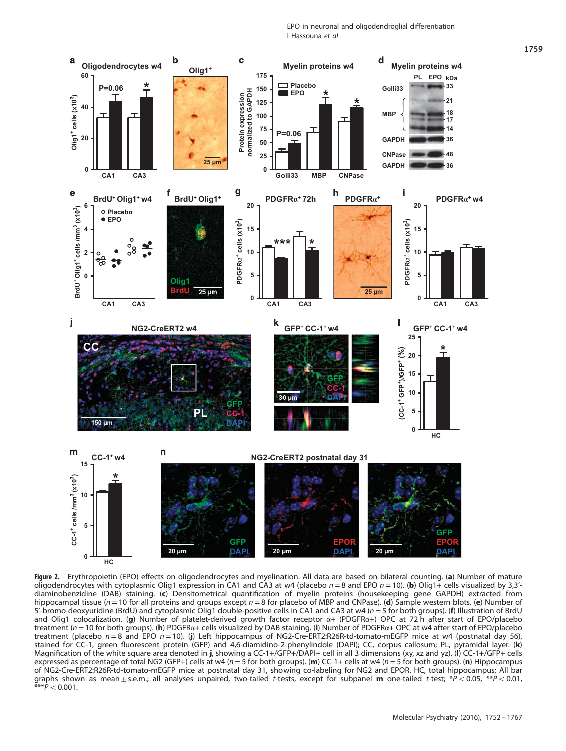EPO in neuronal and oligodendroglial differentiation I Hassouna et al

<span id="page-7-0"></span>

Figure 2. Erythropoietin (EPO) effects on oligodendrocytes and myelination. All data are based on bilateral counting. (a) Number of mature oligodendrocytes with cytoplasmic Olig1 expression in CA1 and CA3 at w4 (placebo  $n=8$  and EPO  $n=10$ ). (b) Olig1+ cells visualized by 3,3'diaminobenzidine (DAB) staining. (c) Densitometrical quantification of myelin proteins (housekeeping gene GAPDH) extracted from hippocampal tissue (n = 10 for all proteins and groups except  $n = 8$  for placebo of MBP and CNPase). (d) Sample western blots. (e) Number of 5'-bromo-deoxyuridine (BrdU) and cytoplasmic Olig1 double-positive cells in CA1 and CA3 at w4 (n = 5 for both groups). (f) Illustration of BrdU and Olig1 colocalization. (g) Number of platelet-derived growth factor receptor α+ (PDGFRα+) OPC at 72 h after start of EPO/placebo treatment ( $n = 10$  for both groups). (h) PDGFR $\alpha$ + cells visualized by DAB staining. (i) Number of PDGFR $\alpha$ + OPC at w4 after start of EPO/placebo treatment (placebo  $n=8$  and EPO  $n=10$ ). (j) Left hippocampus of NG2-Cre-ERT2:R26R-td-tomato-mEGFP mice at w4 (postnatal day 56), stained for CC-1, green fluorescent protein (GFP) and 4,6-diamidino-2-phenylindole (DAPI); CC, corpus callosum; PL, pyramidal layer. (k) Magnification of the white square area denoted in j, showing a CC-1+/GFP+/DAPI+ cell in all 3 dimensions (xy, xz and yz). (l) CC-1+/GFP+ cells expressed as percentage of total NG2 (GFP+) cells at w4 ( $n = 5$  for both groups). (m) CC-1+ cells at w4 ( $n = 5$  for both groups). (n) Hippocampus of NG2-Cre-ERT2:R26R-td-tomato-mEGFP mice at postnatal day 31, showing co-labeling for NG2 and EPOR. HC, total hippocampus; All bar graphs shown as mean $\pm$ s.e.m.; all analyses unpaired, two-tailed t-tests, except for subpanel **m** one-tailed t-test;  $*P < 0.05$ ,  $**P < 0.01$ ,  $***P<sub>0.001</sub>$ .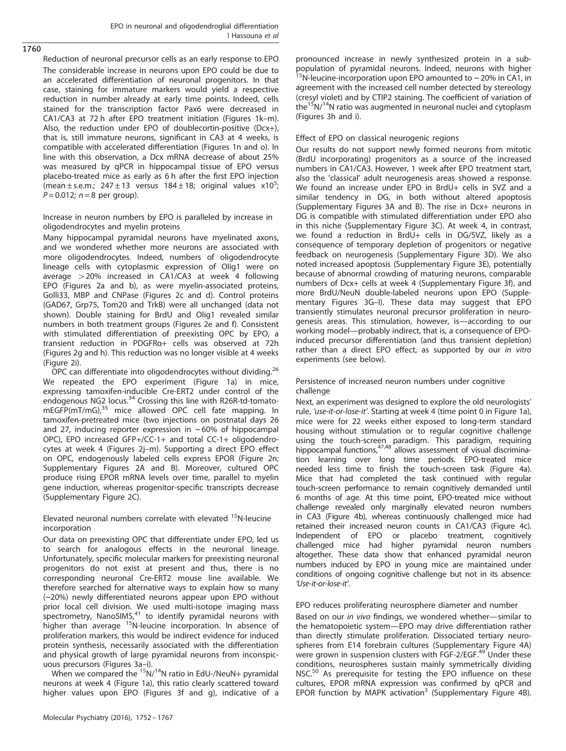Reduction of neuronal precursor cells as an early response to EPO The considerable increase in neurons upon EPO could be due to an accelerated differentiation of neuronal progenitors. In that case, staining for immature markers would yield a respective reduction in number already at early time points. Indeed, cells stained for the transcription factor Pax6 were decreased in CA1/CA3 at 72 h after EPO treatment initiation [\(Figures 1k](#page-2-0)–m). Also, the reduction under EPO of doublecortin-positive (Dcx+), that is, still immature neurons, significant in CA3 at 4 weeks, is compatible with accelerated differentiation [\(Figures 1n and o](#page-2-0)). In line with this observation, a Dcx mRNA decrease of about 25% was measured by qPCR in hippocampal tissue of EPO versus placebo-treated mice as early as 6 h after the first EPO injection (mean  $\pm$  s.e.m.; 247  $\pm$  13 versus 184  $\pm$  18; original values x10<sup>5</sup>; ;  $P = 0.012$ ;  $n = 8$  per group).

Increase in neuron numbers by EPO is paralleled by increase in oligodendrocytes and myelin proteins

Many hippocampal pyramidal neurons have myelinated axons, and we wondered whether more neurons are associated with more oligodendrocytes. Indeed, numbers of oligodendrocyte lineage cells with cytoplasmic expression of Olig1 were on average  $>$  20% increased in CA1/CA3 at week 4 following EPO ([Figures 2a and b\)](#page-7-0), as were myelin-associated proteins, Golli33, MBP and CNPase ([Figures 2c and d\)](#page-7-0). Control proteins (GAD67, Grp75, Tom20 and TrkB) were all unchanged (data not shown). Double staining for BrdU and Olig1 revealed similar numbers in both treatment groups ([Figures 2e and f\)](#page-7-0). Consistent with stimulated differentiation of preexisting OPC by EPO, a transient reduction in PDGFRα+ cells was observed at 72h ([Figures 2g and h\)](#page-7-0). This reduction was no longer visible at 4 weeks ([Figure 2i](#page-7-0)).

OPC can differentiate into oligodendrocytes without dividing.<sup>[26](#page-14-0)</sup> We repeated the EPO experiment [\(Figure 1a](#page-2-0)) in mice, expressing tamoxifen-inducible Cre-ERT2 under control of the endogenous NG2 locus.<sup>[34](#page-14-0)</sup> Crossing this line with R26R-td-tomato-mEGFP(mT/mG),<sup>[35](#page-14-0)</sup> mice allowed OPC cell fate mapping. In tamoxifen-pretreated mice (two injections on postnatal days 26 and 27, inducing reporter expression in  $\sim$  60% of hippocampal OPC), EPO increased GFP+/CC-1+ and total CC-1+ oligodendrocytes at week 4 ([Figures 2j](#page-7-0)–m). Supporting a direct EPO effect on OPC, endogenously labeled cells express EPOR ([Figure 2n;](#page-7-0) Supplementary Figures 2A and B). Moreover, cultured OPC produce rising EPOR mRNA levels over time, parallel to myelin gene induction, whereas progenitor-specific transcripts decrease (Supplementary Figure 2C).

Elevated neuronal numbers correlate with elevated  $15$ N-leucine incorporation

Our data on preexisting OPC that differentiate under EPO, led us to search for analogous effects in the neuronal lineage. Unfortunately, specific molecular markers for preexisting neuronal progenitors do not exist at present and thus, there is no corresponding neuronal Cre-ERT2 mouse line available. We therefore searched for alternative ways to explain how so many (~20%) newly differentiated neurons appear upon EPO without prior local cell division. We used multi-isotope imaging mass<br>spectrometry, NanoSIMS,<sup>[41](#page-14-0)</sup> to identify pyramidal neurons with higher than average <sup>15</sup>N-leucine incorporation. In absence of proliferation markers, this would be indirect evidence for induced protein synthesis, necessarily associated with the differentiation and physical growth of large pyramidal neurons from inconspicuous precursors ([Figures 3a](#page-9-0)–i).

When we compared the  $15N/14N$  ratio in EdU-/NeuN+ pyramidal neurons at week 4 [\(Figure 1a\)](#page-2-0), this ratio clearly scattered toward higher values upon EPO [\(Figures 3f and g](#page-9-0)), indicative of a pronounced increase in newly synthesized protein in a subpopulation of pyramidal neurons. Indeed, neurons with higher  $15$ N-leucine-incorporation upon EPO amounted to  $\sim$  20% in CA1, in agreement with the increased cell number detected by stereology (cresyl violet) and by CTIP2 staining. The coefficient of variation of the<sup>15</sup>N/<sup>14</sup>N ratio was augmented in neuronal nuclei and cytoplasm ([Figures 3h and i\)](#page-9-0).

# Effect of EPO on classical neurogenic regions

Our results do not support newly formed neurons from mitotic (BrdU incorporating) progenitors as a source of the increased numbers in CA1/CA3. However, 1 week after EPO treatment start, also the 'classical' adult neurogenesis areas showed a response. We found an increase under EPO in BrdU+ cells in SVZ and a similar tendency in DG, in both without altered apoptosis (Supplementary Figures 3A and B). The rise in Dcx+ neurons in DG is compatible with stimulated differentiation under EPO also in this niche (Supplementary Figure 3C). At week 4, in contrast, we found a reduction in BrdU+ cells in DG/SVZ, likely as a consequence of temporary depletion of progenitors or negative feedback on neurogenesis (Supplementary Figure 3D). We also noted increased apoptosis (Supplementary Figure 3E), potentially because of abnormal crowding of maturing neurons, comparable numbers of Dcx+ cells at week 4 (Supplementary Figure 3f), and more BrdU/NeuN double-labeled neurons upon EPO (Supplementary Figures 3G–I). These data may suggest that EPO transiently stimulates neuronal precursor proliferation in neurogenesis areas. This stimulation, however, is—according to our working model—probably indirect, that is, a consequence of EPOinduced precursor differentiation (and thus transient depletion) rather than a direct EPO effect, as supported by our in vitro experiments (see below).

# Persistence of increased neuron numbers under cognitive challenge

Next, an experiment was designed to explore the old neurologists' rule, 'use-it-or-lose-it'. Starting at week 4 (time point 0 in [Figure 1a](#page-2-0)), mice were for 22 weeks either exposed to long-term standard housing without stimulation or to regular cognitive challenge using the touch-screen paradigm. This paradigm, requiring hippocampal functions,<sup>47,48</sup> allows assessment of visual discrimination learning over long time periods. EPO-treated mice needed less time to finish the touch-screen task [\(Figure 4a](#page-10-0)). Mice that had completed the task continued with regular touch-screen performance to remain cognitively demanded until 6 months of age. At this time point, EPO-treated mice without challenge revealed only marginally elevated neuron numbers in CA3 [\(Figure 4b](#page-10-0)), whereas continuously challenged mice had retained their increased neuron counts in CA1/CA3 [\(Figure 4c](#page-10-0)). Independent of EPO or placebo treatment, cognitively challenged mice had higher pyramidal neuron numbers altogether. These data show that enhanced pyramidal neuron numbers induced by EPO in young mice are maintained under conditions of ongoing cognitive challenge but not in its absence: 'Use-it-or-lose-it'.

# EPO reduces proliferating neurosphere diameter and number

Based on our in vivo findings, we wondered whether—similar to the hematopoietic system—EPO may drive differentiation rather than directly stimulate proliferation. Dissociated tertiary neurospheres from E14 forebrain cultures (Supplementary Figure 4A) were grown in suspension clusters with FGF-2/EGF.<sup>[49](#page-14-0)</sup> Under these conditions, neurospheres sustain mainly symmetrically dividing NSC.<sup>[50](#page-14-0)</sup> As prerequisite for testing the EPO influence on these cultures, EPOR mRNA expression was confirmed by qPCR and EPOR function by MAPK activation<sup>[3](#page-13-0)</sup> (Supplementary Figure 4B).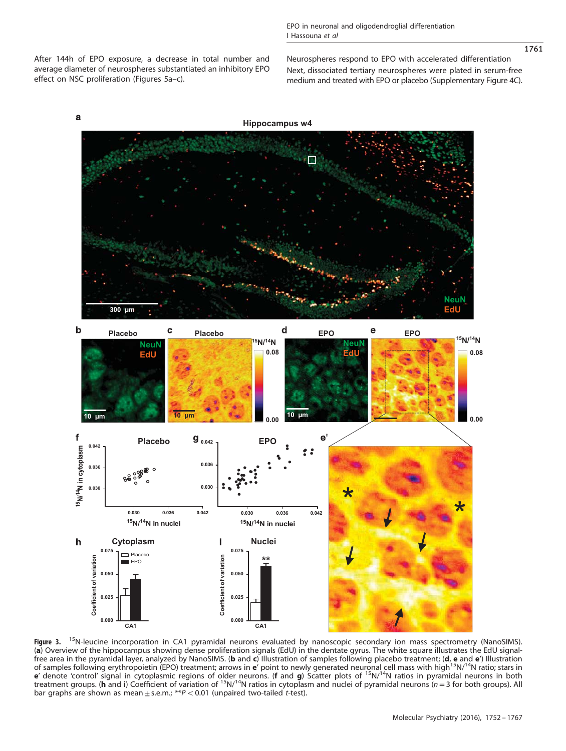<span id="page-9-0"></span>After 144h of EPO exposure, a decrease in total number and average diameter of neurospheres substantiated an inhibitory EPO effect on NSC proliferation ([Figures 5a](#page-10-0)–c).

Neurospheres respond to EPO with accelerated differentiation Next, dissociated tertiary neurospheres were plated in serum-free medium and treated with EPO or placebo (Supplementary Figure 4C).



Figure 3. <sup>15</sup>N-leucine incorporation in CA1 pyramidal neurons evaluated by nanoscopic secondary ion mass spectrometry (NanoSIMS). (a) Overview of the hippocampus showing dense proliferation signals (EdU) in the dentate gyrus. The white square illustrates the EdU signalfree area in the pyramidal layer, analyzed by NanoSIMS. (**b** and c) Illustration of samples following placebo treatment; (**d**, **e** and **e**') Illustration<br>of samples following erythropoietin (EPO) treatment; arrows in **e**' e' denote 'control' signal in cytoplasmic regions of older neurons. (f and g) Scatter plots of <sup>15</sup>N/<sup>14</sup>N ratios in pyramidal neurons in both treatment groups. (h and i) Coefficient of variation of  $15N/14N$  ratios in cytoplasm and nuclei of pyramidal neurons ( $n=3$  for both groups). All bar graphs are shown as mean  $\pm$  s.e.m.; \*\*P < 0.01 (unpaired two-tailed t-test).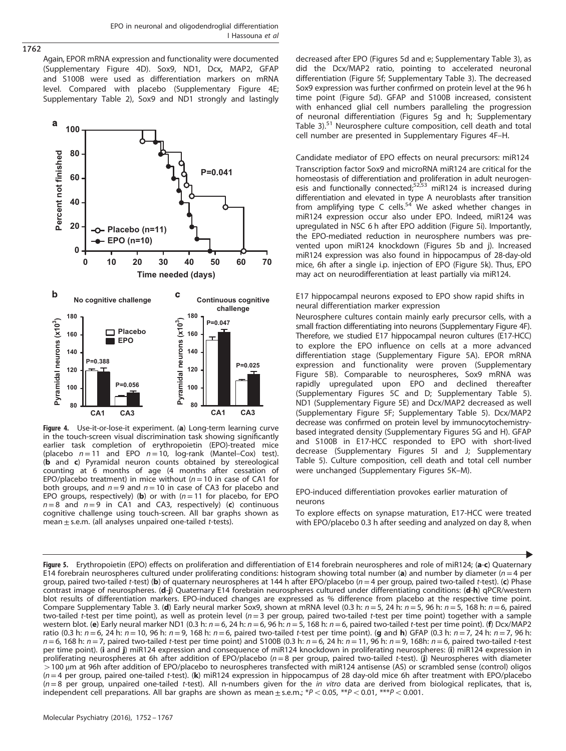<span id="page-10-0"></span>Again, EPOR mRNA expression and functionality were documented (Supplementary Figure 4D). Sox9, ND1, Dcx, MAP2, GFAP and S100B were used as differentiation markers on mRNA level. Compared with placebo (Supplementary Figure 4E; Supplementary Table 2), Sox9 and ND1 strongly and lastingly



Figure 4. Use-it-or-lose-it experiment. (a) Long-term learning curve in the touch-screen visual discrimination task showing significantly earlier task completion of erythropoietin (EPO)-treated mice (placebo  $n = 11$  and EPO  $n = 10$ , log-rank (Mantel–Cox) test). (b and c) Pyramidal neuron counts obtained by stereological counting at 6 months of age (4 months after cessation of EPO/placebo treatment) in mice without ( $n = 10$  in case of CA1 for both groups, and  $n=9$  and  $n=10$  in case of CA3 for placebo and EPO groups, respectively) (b) or with  $(n = 11)$  for placebo, for EPO  $n=8$  and  $n=9$  in CA1 and CA3, respectively) (c) continuous cognitive challenge using touch-screen. All bar graphs shown as mean  $\pm$  s.e.m. (all analyses unpaired one-tailed t-tests).

decreased after EPO (Figures 5d and e; Supplementary Table 3), as did the Dcx/MAP2 ratio, pointing to accelerated neuronal differentiation (Figure 5f; Supplementary Table 3). The decreased Sox9 expression was further confirmed on protein level at the 96 h time point (Figure 5d). GFAP and S100B increased, consistent with enhanced glial cell numbers paralleling the progression of neuronal differentiation (Figures 5g and h; Supplementary Table 3).<sup>[51](#page-14-0)</sup> Neurosphere culture composition, cell death and total cell number are presented in Supplementary Figures 4F–H.

Candidate mediator of EPO effects on neural precursors: miR124 Transcription factor Sox9 and microRNA miR124 are critical for the homeostasis of differentiation and proliferation in adult neurogen-<br>esis and functionally connected;<sup>52,53</sup> miR124 is increased during differentiation and elevated in type A neuroblasts after transition<br>from amplifying type C cells.<sup>54</sup> We asked whether changes in miR124 expression occur also under EPO. Indeed, miR124 was upregulated in NSC 6 h after EPO addition (Figure 5i). Importantly, the EPO-mediated reduction in neurosphere numbers was prevented upon miR124 knockdown (Figures 5b and j). Increased miR124 expression was also found in hippocampus of 28-day-old mice, 6h after a single i.p. injection of EPO (Figure 5k). Thus, EPO may act on neurodifferentiation at least partially via miR124.

E17 hippocampal neurons exposed to EPO show rapid shifts in neural differentiation marker expression

Neurosphere cultures contain mainly early precursor cells, with a small fraction differentiating into neurons (Supplementary Figure 4F). Therefore, we studied E17 hippocampal neuron cultures (E17-HCC) to explore the EPO influence on cells at a more advanced differentiation stage (Supplementary Figure 5A). EPOR mRNA expression and functionality were proven (Supplementary Figure 5B). Comparable to neurospheres, Sox9 mRNA was rapidly upregulated upon EPO and declined thereafter (Supplementary Figures 5C and D; Supplementary Table 5). ND1 (Supplementary Figure 5E) and Dcx/MAP2 decreased as well (Supplementary Figure 5F; Supplementary Table 5). Dcx/MAP2 decrease was confirmed on protein level by immunocytochemistrybased integrated density (Supplementary Figures 5G and H). GFAP and S100B in E17-HCC responded to EPO with short-lived decrease (Supplementary Figures 5I and J; Supplementary Table 5). Culture composition, cell death and total cell number were unchanged (Supplementary Figures 5K–M).

EPO-induced differentiation provokes earlier maturation of neurons

To explore effects on synapse maturation, E17-HCC were treated with EPO/placebo 0.3 h after seeding and analyzed on day 8, when

Figure 5. Erythropoietin (EPO) effects on proliferation and differentiation of E14 forebrain neurospheres and role of miR124; (a-c) Quaternary E14 forebrain neurospheres cultured under proliferating conditions: histogram showing total number (a) and number by diameter ( $n=4$  per group, paired two-tailed t-test) (b) of quaternary neurospheres at 144 h after EPO/placebo ( $n = 4$  per group, paired two-tailed t-test). (c) Phase contrast image of neurospheres. (d-j) Quaternary E14 forebrain neurospheres cultured under differentiating conditions: (d-h) qPCR/western blot results of differentiation markers. EPO-induced changes are expressed as % difference from placebo at the respective time point. Compare Supplementary Table 3. (d) Early neural marker Sox9, shown at mRNA level (0.3 h:  $n = 5$ , 24 h:  $n = 5$ , 96 h:  $n = 5$ , 168 h:  $n = 6$ , paired two-tailed t-test per time point), as well as protein level  $(n=3$  per group, paired two-tailed t-test per time point) together with a sample western blot. (e) Early neural marker ND1 (0.3 h:  $n = 6$ , 24 h:  $n = 6$ , 96 h:  $n = 5$ , 168 h:  $n = 6$ , paired two-tailed t-test per time point). (f) Dcx/MAP2 ratio (0.3 h:  $n = 6$ , 24 h:  $n = 10$ , 96 h:  $n = 9$ , 168 h:  $n = 6$ , paired two-tailed t-test per time point). (g and h) GFAP (0.3 h:  $n = 7$ , 24 h:  $n = 7$ , 96 h:  $n=6$ , 168 h:  $n=7$ , paired two-tailed t-test per time point) and S100B (0.3 h:  $n=6$ , 24 h:  $n=11$ , 96 h:  $n=9$ , 168h:  $n=6$ , paired two-tailed t-test per time point). (i and j) miR124 expression and consequence of miR124 knockdown in proliferating neurospheres: (i) miR124 expression in proliferating neurospheres at 6h after addition of EPO/placebo ( $n=8$  per group, paired two-tailed t-test). (j) Neurospheres with diameter 4100 μm at 96h after addition of EPO/placebo to neurospheres transfected with miR124 antisense (AS) or scrambled sense (control) oligos  $(n=4$  per group, paired one-tailed t-test). (k) miR124 expression in hippocampus of 28 day-old mice 6h after treatment with EPO/placebo  $(n=8)$  per group, unpaired one-tailed t-test). All n-numbers given for the in vitro data are derived from biological replicates, that is, independent cell preparations. All bar graphs are shown as mean  $\pm$  s.e.m.; \*P < 0.05, \*\*P < 0.01, \*\*\*P < 0.001.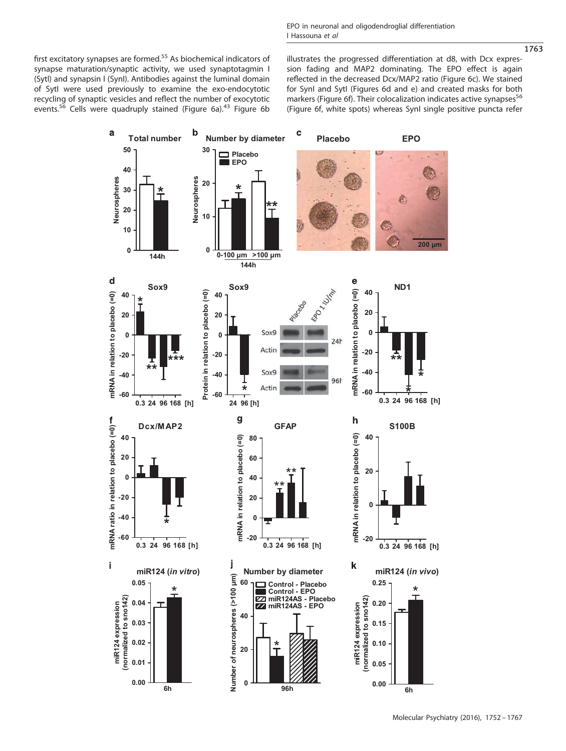first excitatory synapses are formed.<sup>[55](#page-14-0)</sup> As biochemical indicators of synapse maturation/synaptic activity, we used synaptotagmin I (SytI) and synapsin I (SynI). Antibodies against the luminal domain of SytI were used previously to examine the exo-endocytotic recycling of synaptic vesicles and reflect the number of exocytotic events. $55$  Cells were quadruply stained [\(Figure 6a](#page-12-0)).<sup>[43](#page-14-0)</sup> [Figure 6b](#page-12-0) illustrates the progressed differentiation at d8, with Dcx expression fading and MAP2 dominating. The EPO effect is again reflected in the decreased Dcx/MAP2 ratio [\(Figure 6c](#page-12-0)). We stained for SynI and SytI ([Figures 6d and e](#page-12-0)) and created masks for both markers [\(Figure 6f](#page-12-0)). Their colocalization indicates active synapses<sup>[56](#page-14-0)</sup> [\(Figure 6f](#page-12-0), white spots) whereas SynI single positive puncta refer



1763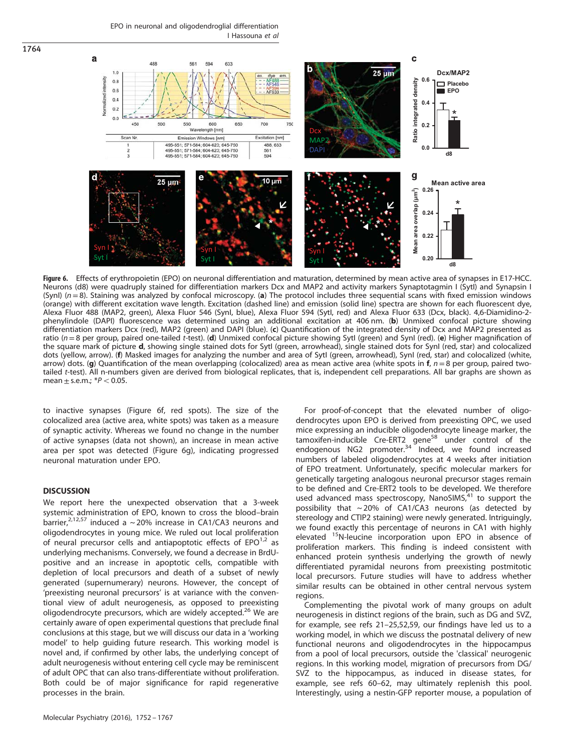EPO in neuronal and oligodendroglial differentiation I Hassouna et al



Figure 6. Effects of erythropoietin (EPO) on neuronal differentiation and maturation, determined by mean active area of synapses in E17-HCC. Neurons (d8) were quadruply stained for differentiation markers Dcx and MAP2 and activity markers Synaptotagmin I (SytI) and Synapsin I  $(SynI)$  ( $n=8$ ). Staining was analyzed by confocal microscopy. (a) The protocol includes three sequential scans with fixed emission windows (orange) with different excitation wave length. Excitation (dashed line) and emission (solid line) spectra are shown for each fluorescent dye, Alexa Fluor 488 (MAP2, green), Alexa Fluor 546 (SynI, blue), Alexa Fluor 594 (SytI, red) and Alexa Fluor 633 (Dcx, black). 4,6-Diamidino-2 phenylindole (DAPI) fluorescence was determined using an additional excitation at 406 nm. (b) Unmixed confocal picture showing differentiation markers Dcx (red), MAP2 (green) and DAPI (blue). (c) Quantification of the integrated density of Dcx and MAP2 presented as ratio ( $n=8$  per group, paired one-tailed t-test). (d) Unmixed confocal picture showing SytI (green) and SynI (red). (e) Higher magnification of the square mark of picture d, showing single stained dots for SytI (green, arrowhead), single stained dots for SynI (red, star) and colocalized dots (yellow, arrow). (f) Masked images for analyzing the number and area of SytI (green, arrowhead), SynI (red, star) and colocalized (white, arrow) dots. (q) Quantification of the mean overlapping (colocalized) area as mean active area (white spots in  $f, n = 8$  per group, paired twotailed t-test). All n-numbers given are derived from biological replicates, that is, independent cell preparations. All bar graphs are shown as mean  $\pm$  s.e.m.;  $*P < 0.05$ .

to inactive synapses (Figure 6f, red spots). The size of the colocalized area (active area, white spots) was taken as a measure of synaptic activity. Whereas we found no change in the number of active synapses (data not shown), an increase in mean active area per spot was detected (Figure 6g), indicating progressed neuronal maturation under EPO.

# **DISCUSSION**

<span id="page-12-0"></span>1764

We report here the unexpected observation that a 3-week systemic administration of EPO, known to cross the blood–brain barrier,<sup>[2](#page-13-0)[,12](#page-14-0),[57](#page-14-0)</sup> induced a ~20% increase in CA1/CA3 neurons and oligodendrocytes in young mice. We ruled out local proliferation of neural precursor cells and antiapoptotic effects of  $EPO^{1,2}$  $EPO^{1,2}$  $EPO^{1,2}$  as underlying mechanisms. Conversely, we found a decrease in BrdUpositive and an increase in apoptotic cells, compatible with depletion of local precursors and death of a subset of newly generated (supernumerary) neurons. However, the concept of 'preexisting neuronal precursors' is at variance with the conventional view of adult neurogenesis, as opposed to preexisting oligodendrocyte precursors, which are widely accepted.<sup>[26](#page-14-0)</sup> We are certainly aware of open experimental questions that preclude final conclusions at this stage, but we will discuss our data in a 'working model' to help guiding future research. This working model is novel and, if confirmed by other labs, the underlying concept of adult neurogenesis without entering cell cycle may be reminiscent of adult OPC that can also trans-differentiate without proliferation. Both could be of major significance for rapid regenerative processes in the brain.

For proof-of-concept that the elevated number of oligodendrocytes upon EPO is derived from preexisting OPC, we used mice expressing an inducible oligodendrocyte lineage marker, the tamoxifen-inducible Cre-ERT2 gene<sup>[58](#page-14-0)</sup> under control of the endogenous NG2 promoter.<sup>[34](#page-14-0)</sup> Indeed, we found increased numbers of labeled oligodendrocytes at 4 weeks after initiation of EPO treatment. Unfortunately, specific molecular markers for genetically targeting analogous neuronal precursor stages remain to be defined and Cre-ERT2 tools to be developed. We therefore used advanced mass spectroscopy, NanoSIMS, $41$  to support the possibility that  $\sim$  20% of CA1/CA3 neurons (as detected by stereology and CTIP2 staining) were newly generated. Intriguingly, we found exactly this percentage of neurons in CA1 with highly elevated <sup>15</sup>N-leucine incorporation upon EPO in absence of proliferation markers. This finding is indeed consistent with enhanced protein synthesis underlying the growth of newly differentiated pyramidal neurons from preexisting postmitotic local precursors. Future studies will have to address whether similar results can be obtained in other central nervous system regions.

Complementing the pivotal work of many groups on adult neurogenesis in distinct regions of the brain, such as DG and SVZ, for example, see refs 21–[25,52,59](#page-14-0), our findings have led us to a working model, in which we discuss the postnatal delivery of new functional neurons and oligodendrocytes in the hippocampus from a pool of local precursors, outside the 'classical' neurogenic regions. In this working model, migration of precursors from DG/ SVZ to the hippocampus, as induced in disease states, for example, see refs 60–[62](#page-14-0), may ultimately replenish this pool. Interestingly, using a nestin-GFP reporter mouse, a population of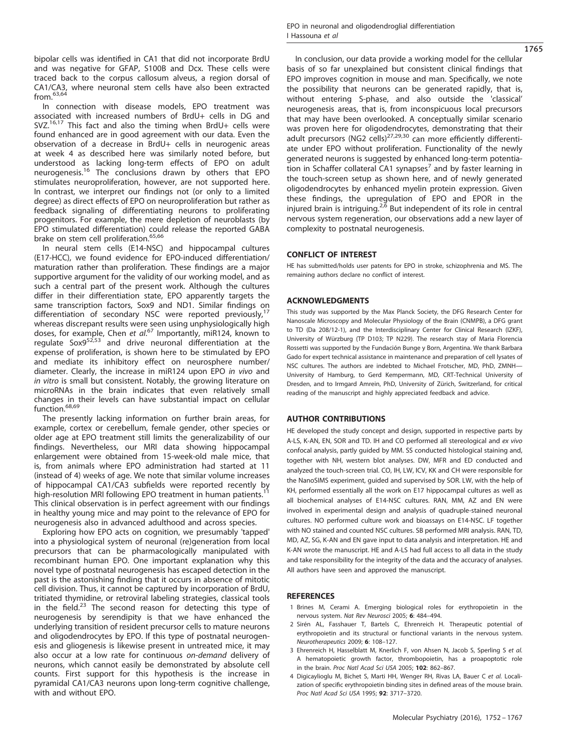<span id="page-13-0"></span>bipolar cells was identified in CA1 that did not incorporate BrdU and was negative for GFAP, S100B and Dcx. These cells were traced back to the corpus callosum alveus, a region dorsal of CA1/CA3, where neuronal stem cells have also been extracted  $from.63,64$  $from.63,64$  $from.63,64$  $from.63,64$ 

In connection with disease models, EPO treatment was associated with increased numbers of BrdU+ cells in DG and SVZ.<sup>[16,17](#page-14-0)</sup> This fact and also the timing when BrdU+ cells were found enhanced are in good agreement with our data. Even the observation of a decrease in BrdU+ cells in neurogenic areas at week 4 as described here was similarly noted before, but understood as lacking long-term effects of EPO on adult neurogenesis.[16](#page-14-0) The conclusions drawn by others that EPO stimulates neuroproliferation, however, are not supported here. In contrast, we interpret our findings not (or only to a limited degree) as direct effects of EPO on neuroproliferation but rather as feedback signaling of differentiating neurons to proliferating progenitors. For example, the mere depletion of neuroblasts (by EPO stimulated differentiation) could release the reported GABA brake on stem cell proliferation.<sup>[65,66](#page-15-0)</sup>

In neural stem cells (E14-NSC) and hippocampal cultures (E17-HCC), we found evidence for EPO-induced differentiation/ maturation rather than proliferation. These findings are a major supportive argument for the validity of our working model, and as such a central part of the present work. Although the cultures differ in their differentiation state, EPO apparently targets the same transcription factors, Sox9 and ND1. Similar findings on differentiation of secondary NSC were reported previously,<sup>[17](#page-14-0)</sup> whereas discrepant results were seen using unphysiologically high doses, for example, Chen et al.<sup>[67](#page-15-0)</sup> Importantly, miR124, known to regulate Sox9<sup>[52,53](#page-14-0)</sup> and drive neuronal differentiation at the expense of proliferation, is shown here to be stimulated by EPO and mediate its inhibitory effect on neurosphere number/ diameter. Clearly, the increase in miR124 upon EPO in vivo and in vitro is small but consistent. Notably, the growing literature on microRNAs in the brain indicates that even relatively small changes in their levels can have substantial impact on cellular function.<sup>[68,69](#page-15-0)</sup>

The presently lacking information on further brain areas, for example, cortex or cerebellum, female gender, other species or older age at EPO treatment still limits the generalizability of our findings. Nevertheless, our MRI data showing hippocampal enlargement were obtained from 15-week-old male mice, that is, from animals where EPO administration had started at 11 (instead of 4) weeks of age. We note that similar volume increases of hippocampal CA1/CA3 subfields were reported recently by high-resolution MRI following EPO treatment in human patients.<sup>[11](#page-14-0)</sup> This clinical observation is in perfect agreement with our findings in healthy young mice and may point to the relevance of EPO for neurogenesis also in advanced adulthood and across species.

Exploring how EPO acts on cognition, we presumably 'tapped' into a physiological system of neuronal (re)generation from local precursors that can be pharmacologically manipulated with recombinant human EPO. One important explanation why this novel type of postnatal neurogenesis has escaped detection in the past is the astonishing finding that it occurs in absence of mitotic cell division. Thus, it cannot be captured by incorporation of BrdU, tritiated thymidine, or retroviral labeling strategies, classical tools in the field. $23$  The second reason for detecting this type of neurogenesis by serendipity is that we have enhanced the underlying transition of resident precursor cells to mature neurons and oligodendrocytes by EPO. If this type of postnatal neurogenesis and gliogenesis is likewise present in untreated mice, it may also occur at a low rate for continuous on-demand delivery of neurons, which cannot easily be demonstrated by absolute cell counts. First support for this hypothesis is the increase in pyramidal CA1/CA3 neurons upon long-term cognitive challenge, with and without EPO.

In conclusion, our data provide a working model for the cellular basis of so far unexplained but consistent clinical findings that EPO improves cognition in mouse and man. Specifically, we note the possibility that neurons can be generated rapidly, that is, without entering S-phase, and also outside the 'classical' neurogenesis areas, that is, from inconspicuous local precursors that may have been overlooked. A conceptually similar scenario was proven here for oligodendrocytes, demonstrating that their adult precursors (NG2 cells) $27,29,30$  $27,29,30$  $27,29,30$  $27,29,30$  can more efficiently differentiate under EPO without proliferation. Functionality of the newly generated neurons is suggested by enhanced long-term potentia-tion in Schaffer collateral CA1 synapses<sup>[7](#page-14-0)</sup> and by faster learning in the touch-screen setup as shown here, and of newly generated oligodendrocytes by enhanced myelin protein expression. Given these findings, the upregulation of EPO and EPOR in the injured brain is intriguing.<sup>2[,6](#page-14-0)</sup> But independent of its role in central nervous system regeneration, our observations add a new layer of complexity to postnatal neurogenesis.

#### CONFLICT OF INTEREST

HE has submitted/holds user patents for EPO in stroke, schizophrenia and MS. The remaining authors declare no conflict of interest.

# ACKNOWLEDGMENTS

This study was supported by the Max Planck Society, the DFG Research Center for Nanoscale Microscopy and Molecular Physiology of the Brain (CNMPB), a DFG grant to TD (Da 208/12-1), and the Interdisciplinary Center for Clinical Research (IZKF), University of Würzburg (TP D103; TP N229). The research stay of Maria Florencia Rossetti was supported by the Fundación Bunge y Born, Argentina. We thank Barbara Gado for expert technical assistance in maintenance and preparation of cell lysates of NSC cultures. The authors are indebted to Michael Frotscher, MD, PhD, ZMNH— University of Hamburg, to Gerd Kempermann, MD, CRT-Technical University of Dresden, and to Irmgard Amrein, PhD, University of Zürich, Switzerland, for critical reading of the manuscript and highly appreciated feedback and advice.

#### AUTHOR CONTRIBUTIONS

HE developed the study concept and design, supported in respective parts by A-LS, K-AN, EN, SOR and TD. IH and CO performed all stereological and ex vivo confocal analysis, partly guided by MM. SS conducted histological staining and, together with NH, western blot analyses. DW, MFR and ED conducted and analyzed the touch-screen trial. CO, IH, LW, ICV, KK and CH were responsible for the NanoSIMS experiment, guided and supervised by SOR. LW, with the help of KH, performed essentially all the work on E17 hippocampal cultures as well as all biochemical analyses of E14-NSC cultures. RAN, MM, AZ and EN were involved in experimental design and analysis of quadruple-stained neuronal cultures. NO performed culture work and bioassays on E14-NSC. LF together with NO stained and counted NSC cultures. SB performed MRI analysis. RAN, TD, MD, AZ, SG, K-AN and EN gave input to data analysis and interpretation. HE and K-AN wrote the manuscript. HE and A-LS had full access to all data in the study and take responsibility for the integrity of the data and the accuracy of analyses. All authors have seen and approved the manuscript.

# **REFERENCES**

- 1 Brines M, Cerami A. Emerging biological roles for erythropoietin in the nervous system. Nat Rev Neurosci 2005; 6: 484–494.
- 2 Sirén AL, Fasshauer T, Bartels C, Ehrenreich H. Therapeutic potential of erythropoietin and its structural or functional variants in the nervous system. Neurotherapeutics 2009; 6: 108–127.
- 3 Ehrenreich H, Hasselblatt M, Knerlich F, von Ahsen N, Jacob S, Sperling S et al. A hematopoietic growth factor, thrombopoietin, has a proapoptotic role in the brain. Proc Natl Acad Sci USA 2005; 102: 862–867.
- 4 Digicaylioglu M, Bichet S, Marti HH, Wenger RH, Rivas LA, Bauer C et al. Localization of specific erythropoietin binding sites in defined areas of the mouse brain. Proc Natl Acad Sci USA 1995; 92: 3717–3720.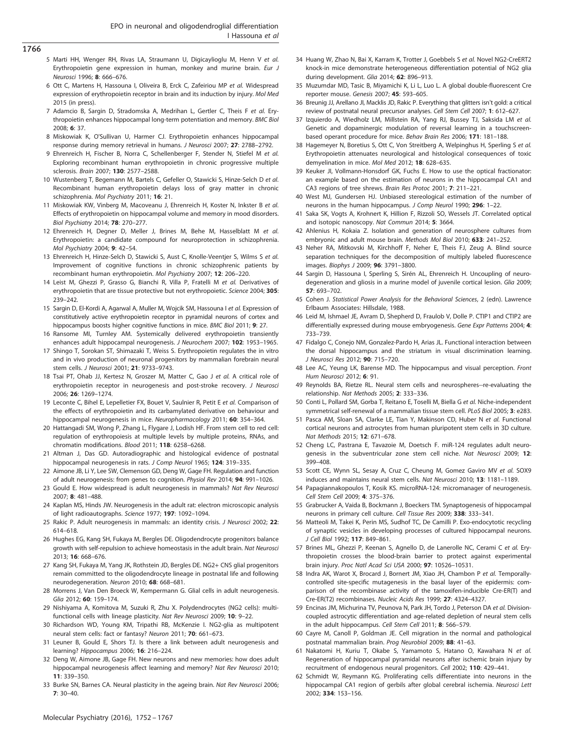- <span id="page-14-0"></span>1766
- 5 Marti HH, Wenger RH, Rivas LA, Straumann U, Digicaylioglu M, Henn V et al. Erythropoietin gene expression in human, monkey and murine brain. Eur J Neurosci 1996; 8: 666–676.
- 6 Ott C, Martens H, Hassouna I, Oliveira B, Erck C, Zafeiriou MP et al. Widespread expression of erythropoietin receptor in brain and its induction by injury. Mol Med 2015 (in press).
- 7 Adamcio B, Sargin D, Stradomska A, Medrihan L, Gertler C, Theis F et al. Erythropoietin enhances hippocampal long-term potentiation and memory. BMC Biol 2008; 6: 37.
- 8 Miskowiak K, O'Sullivan U, Harmer CJ. Erythropoietin enhances hippocampal response during memory retrieval in humans. J Neurosci 2007; 27: 2788–2792.
- 9 Ehrenreich H, Fischer B, Norra C, Schellenberger F, Stender N, Stiefel M et al. Exploring recombinant human erythropoietin in chronic progressive multiple sclerosis. Brain 2007; 130: 2577–2588.
- 10 Wustenberg T, Begemann M, Bartels C, Gefeller O, Stawicki S, Hinze-Selch D et al. Recombinant human erythropoietin delays loss of gray matter in chronic schizophrenia. Mol Psychiatry 2011; 16: 21.
- 11 Miskowiak KW, Vinberg M, Macoveanu J, Ehrenreich H, Koster N, Inkster B et al. Effects of erythropoietin on hippocampal volume and memory in mood disorders. Biol Psychiatry 2014; 78: 270–277.
- 12 Ehrenreich H, Degner D, Meller J, Brines M, Behe M, Hasselblatt M et al. Erythropoietin: a candidate compound for neuroprotection in schizophrenia. Mol Psychiatry 2004; 9: 42–54.
- 13 Ehrenreich H, Hinze-Selch D, Stawicki S, Aust C, Knolle-Veentjer S, Wilms S et al. Improvement of cognitive functions in chronic schizophrenic patients by recombinant human erythropoietin. Mol Psychiatry 2007; 12: 206–220.
- 14 Leist M, Ghezzi P, Grasso G, Bianchi R, Villa P, Fratelli M et al. Derivatives of erythropoietin that are tissue protective but not erythropoietic. Science 2004; 305: 239–242.
- 15 Sargin D, El-Kordi A, Agarwal A, Muller M, Wojcik SM, Hassouna I et al. Expression of constitutively active erythropoietin receptor in pyramidal neurons of cortex and hippocampus boosts higher cognitive functions in mice. BMC Biol 2011; 9: 27.
- 16 Ransome MI, Turnley AM. Systemically delivered erythropoietin transiently enhances adult hippocampal neurogenesis. J Neurochem 2007; 102: 1953–1965.
- 17 Shingo T, Sorokan ST, Shimazaki T, Weiss S. Erythropoietin regulates the in vitro and in vivo production of neuronal progenitors by mammalian forebrain neural stem cells. J Neurosci 2001; 21: 9733–9743.
- 18 Tsai PT, Ohab JJ, Kertesz N, Groszer M, Matter C, Gao J et al. A critical role of erythropoietin receptor in neurogenesis and post-stroke recovery. J Neurosci 2006; 26: 1269–1274.
- 19 Leconte C, Bihel E, Lepelletier FX, Bouet V, Saulnier R, Petit E et al. Comparison of the effects of erythropoietin and its carbamylated derivative on behaviour and hippocampal neurogenesis in mice. Neuropharmacology 2011; 60: 354–364.
- 20 Hattangadi SM, Wong P, Zhang L, Flygare J, Lodish HF. From stem cell to red cell: regulation of erythropoiesis at multiple levels by multiple proteins, RNAs, and chromatin modifications. Blood 2011; 118: 6258–6268.
- 21 Altman J, Das GD. Autoradiographic and histological evidence of postnatal hippocampal neurogenesis in rats. J Comp Neurol 1965; 124: 319-335.
- 22 Aimone JB, Li Y, Lee SW, Clemenson GD, Deng W, Gage FH. Regulation and function of adult neurogenesis: from genes to cognition. Physiol Rev 2014; 94: 991–1026.
- 23 Gould E. How widespread is adult neurogenesis in mammals? Nat Rev Neurosci 2007; 8: 481–488.
- 24 Kaplan MS, Hinds JW. Neurogenesis in the adult rat: electron microscopic analysis of light radioautographs. Science 1977; 197: 1092–1094.
- 25 Rakic P. Adult neurogenesis in mammals: an identity crisis. J Neurosci 2002; 22: 614–618.
- 26 Hughes EG, Kang SH, Fukaya M, Bergles DE. Oligodendrocyte progenitors balance growth with self-repulsion to achieve homeostasis in the adult brain. Nat Neurosci 2013; 16: 668–676.
- 27 Kang SH, Fukaya M, Yang JK, Rothstein JD, Bergles DE. NG2+ CNS glial progenitors remain committed to the oligodendrocyte lineage in postnatal life and following neurodegeneration. Neuron 2010; 68: 668–681.
- 28 Morrens J, Van Den Broeck W, Kempermann G. Glial cells in adult neurogenesis.  $Gliq$  2012; 60: 159–174
- 29 Nishiyama A, Komitova M, Suzuki R, Zhu X. Polydendrocytes (NG2 cells): multifunctional cells with lineage plasticity. Nat Rev Neurosci 2009; 10: 9–22.
- 30 Richardson WD, Young KM, Tripathi RB, McKenzie I. NG2-glia as multipotent neural stem cells: fact or fantasy? Neuron 2011; 70: 661–673.
- 31 Leuner B, Gould E, Shors TJ. Is there a link between adult neurogenesis and learning? Hippocampus 2006; 16: 216–224.
- 32 Deng W, Aimone JB, Gage FH. New neurons and new memories: how does adult hippocampal neurogenesis affect learning and memory? Nat Rev Neurosci 2010; 11: 339–350.
- 33 Burke SN, Barnes CA. Neural plasticity in the ageing brain. Nat Rev Neurosci 2006; 7: 30–40.
- 34 Huang W, Zhao N, Bai X, Karram K, Trotter J, Goebbels S et al. Novel NG2-CreERT2 knock-in mice demonstrate heterogeneous differentiation potential of NG2 glia during development. Glia 2014; 62: 896-913.
- 35 Muzumdar MD, Tasic B, Miyamichi K, Li L, Luo L. A global double-fluorescent Cre reporter mouse. Genesis 2007; 45: 593–605.
- 36 Breunig JJ, Arellano JI, Macklis JD, Rakic P. Everything that glitters isn't gold: a critical review of postnatal neural precursor analyses. Cell Stem Cell 2007; 1: 612–627.
- 37 Izquierdo A, Wiedholz LM, Millstein RA, Yang RJ, Bussey TJ, Saksida LM et al. Genetic and dopaminergic modulation of reversal learning in a touchscreenbased operant procedure for mice. Behav Brain Res 2006; 171: 181–188.
- 38 Hagemeyer N, Boretius S, Ott C, Von Streitberg A, Welpinghus H, Sperling S et al. Erythropoietin attenuates neurological and histological consequences of toxic demyelination in mice. Mol Med 2012; 18: 628–635.
- 39 Keuker JI, Vollmann-Honsdorf GK, Fuchs E. How to use the optical fractionator: an example based on the estimation of neurons in the hippocampal CA1 and CA3 regions of tree shrews. Brain Res Protoc 2001; 7: 211–221.
- 40 West MJ, Gundersen HJ. Unbiased stereological estimation of the number of neurons in the human hippocampus. J Comp Neurol 1990; 296: 1–22.
- 41 Saka SK, Vogts A, Krohnert K, Hillion F, Rizzoli SO, Wessels JT. Correlated optical and isotopic nanoscopy. Nat Commun 2014; 5: 3664.
- 42 Ahlenius H, Kokaia Z. Isolation and generation of neurosphere cultures from embryonic and adult mouse brain. Methods Mol Biol 2010; 633: 241–252.
- 43 Neher RA, Mitkovski M, Kirchhoff F, Neher E, Theis FJ, Zeug A. Blind source separation techniques for the decomposition of multiply labeled fluorescence images. Biophys J 2009; 96: 3791–3800.
- 44 Sargin D, Hassouna I, Sperling S, Sirén AL, Ehrenreich H. Uncoupling of neurodegeneration and gliosis in a murine model of juvenile cortical lesion. Glia 2009; 57: 693–702.
- 45 Cohen J. Statistical Power Analysis for the Behavioral Sciences, 2 (edn). Lawrence Erlbaum Associates: Hillsdale, 1988.
- 46 Leid M, Ishmael JE, Avram D, Shepherd D, Fraulob V, Dolle P. CTIP1 and CTIP2 are differentially expressed during mouse embryogenesis. Gene Expr Patterns 2004; 4: 733–739.
- 47 Fidalgo C, Conejo NM, Gonzalez-Pardo H, Arias JL. Functional interaction between the dorsal hippocampus and the striatum in visual discrimination learning. J Neurosci Res 2012; 90: 715–720.
- 48 Lee AC, Yeung LK, Barense MD. The hippocampus and visual perception. Front Hum Neurosci 2012; 6: 91.
- 49 Reynolds BA, Rietze RL. Neural stem cells and neurospheres--re-evaluating the relationship. Nat Methods 2005; 2: 333–336.
- 50 Conti L, Pollard SM, Gorba T, Reitano E, Toselli M, Biella G et al. Niche-independent symmetrical self-renewal of a mammalian tissue stem cell. PLoS Biol 2005; 3: e283.
- 51 Pasca AM, Sloan SA, Clarke LE, Tian Y, Makinson CD, Huber N et al. Functional cortical neurons and astrocytes from human pluripotent stem cells in 3D culture. Nat Methods 2015; 12: 671–678.
- 52 Cheng LC, Pastrana E, Tavazoie M, Doetsch F. miR-124 regulates adult neurogenesis in the subventricular zone stem cell niche. Nat Neurosci 2009; 12: 399–408.
- 53 Scott CE, Wynn SL, Sesay A, Cruz C, Cheung M, Gomez Gaviro MV et al. SOX9 induces and maintains neural stem cells. Nat Neurosci 2010; 13: 1181–1189.
- 54 Papagiannakopoulos T, Kosik KS. microRNA-124: micromanager of neurogenesis. Cell Stem Cell 2009; 4: 375–376.
- 55 Grabrucker A, Vaida B, Bockmann J, Boeckers TM. Synaptogenesis of hippocampal neurons in primary cell culture. Cell Tissue Res 2009; 338: 333–341.
- 56 Matteoli M, Takei K, Perin MS, Sudhof TC, De Camilli P. Exo-endocytotic recycling of synaptic vesicles in developing processes of cultured hippocampal neurons. J Cell Biol 1992; 117: 849–861.
- 57 Brines ML, Ghezzi P, Keenan S, Agnello D, de Lanerolle NC, Cerami C et al. Erythropoietin crosses the blood-brain barrier to protect against experimental brain injury. Proc Natl Acad Sci USA 2000; 97: 10526–10531.
- 58 Indra AK, Warot X, Brocard J, Bornert JM, Xiao JH, Chambon P et al. Temporallycontrolled site-specific mutagenesis in the basal layer of the epidermis: comparison of the recombinase activity of the tamoxifen-inducible Cre-ER(T) and Cre-ER(T2) recombinases. Nucleic Acids Res 1999; 27: 4324–4327.
- 59 Encinas JM, Michurina TV, Peunova N, Park JH, Tordo J, Peterson DA et al. Divisioncoupled astrocytic differentiation and age-related depletion of neural stem cells in the adult hippocampus. Cell Stem Cell 2011; 8: 566–579.
- 60 Cayre M, Canoll P, Goldman JE. Cell migration in the normal and pathological postnatal mammalian brain. Prog Neurobiol 2009; 88: 41–63.
- Nakatomi H, Kuriu T, Okabe S, Yamamoto S, Hatano O, Kawahara N et al. Regeneration of hippocampal pyramidal neurons after ischemic brain injury by recruitment of endogenous neural progenitors. Cell 2002; 110: 429–441.
- 62 Schmidt W, Reymann KG. Proliferating cells differentiate into neurons in the hippocampal CA1 region of gerbils after global cerebral ischemia. Neurosci Lett 2002; 334: 153–156.